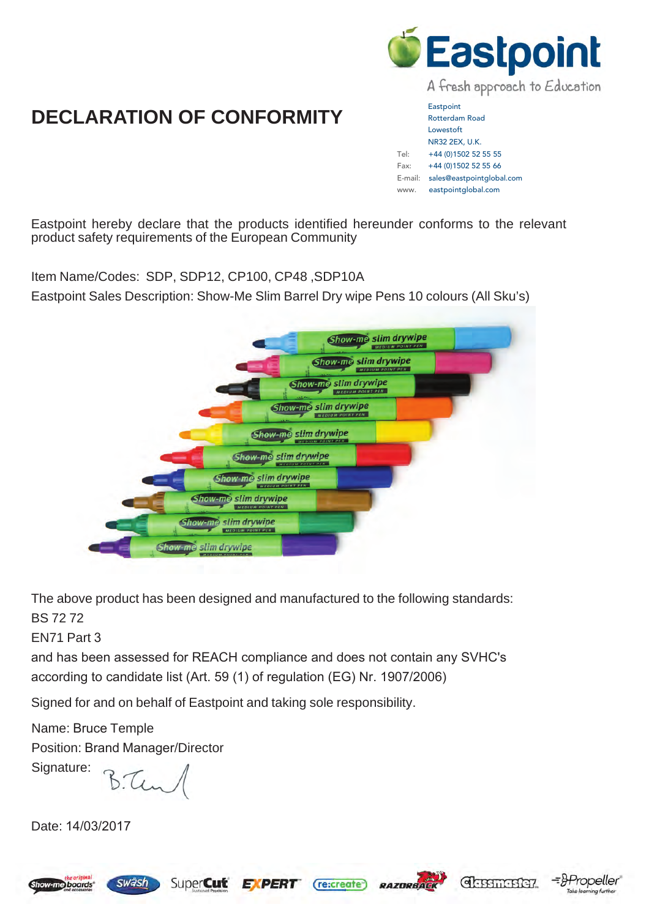

# **DECLARATION OF CONFORMITY**

**Eastpoint** Rotterdam Road Lowestoft NR32 2EX, U.K. Tel: +44 (0)1502 52 55 55 Fax: +44 (0)1502 52 55 66 E-mail: sales@eastpointglobal.com www. eastpointglobal.com

Eastpoint hereby declare that the products identified hereunder conforms to the relevant product safety requirements of the European Community

Item Name/Codes: SDP, SDP12, CP100, CP48 ,SDP10A

Eastpoint Sales Description: Show-Me Slim Barrel Dry wipe Pens 10 colours (All Sku's)



The above product has been designed and manufactured to the following standards: BS 72 72

EN71 Part 3

and has been assessed for REACH compliance and does not contain any SVHC's according to candidate list (Art. 59 (1) of regulation (EG) Nr. 1907/2006)

Signed for and on behalf of Eastpoint and taking sole responsibility.

Name: Bruce Temple Position: Brand Manager/Director

Signature:

B. Ten

swäsh

Date: 14/03/2017









ning further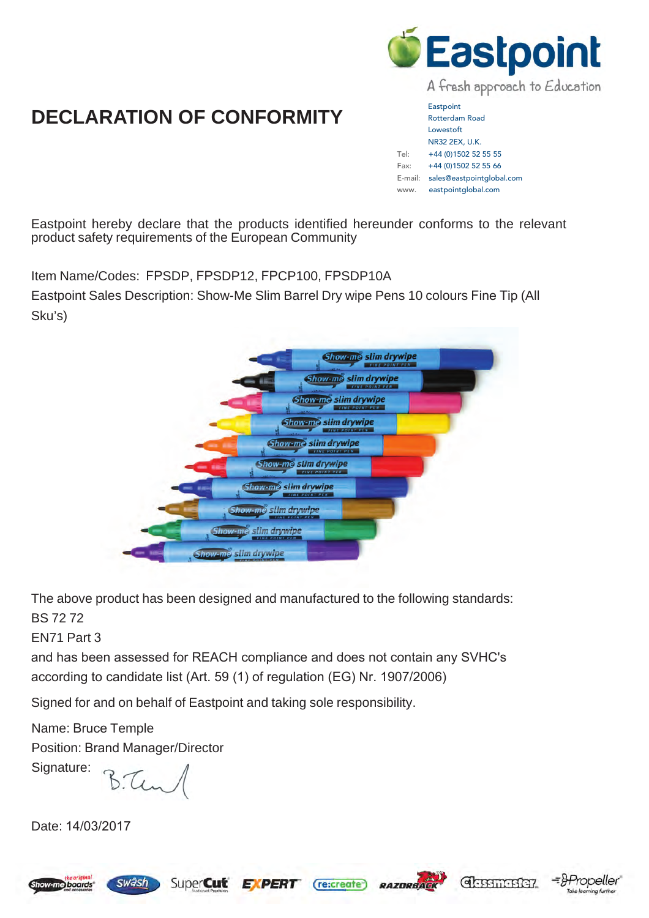

# **DECLARATION OF CONFORMITY**

**Eastpoint** Rotterdam Road Lowestoft NR32 2EX, U.K. Tel: +44 (0)1502 52 55 55 Fax: +44 (0)1502 52 55 66 E-mail: sales@eastpointglobal.com www. eastpointglobal.com

Eastpoint hereby declare that the products identified hereunder conforms to the relevant product safety requirements of the European Community

Item Name/Codes: FPSDP, FPSDP12, FPCP100, FPSDP10A

Eastpoint Sales Description: Show-Me Slim Barrel Dry wipe Pens 10 colours Fine Tip (All Sku's)



The above product has been designed and manufactured to the following standards: BS 72 72

EN71 Part 3

and has been assessed for REACH compliance and does not contain any SVHC's according to candidate list (Art. 59 (1) of regulation (EG) Nr. 1907/2006)

Signed for and on behalf of Eastpoint and taking sole responsibility.

Name: Bruce Temple Position: Brand Manager/Director

swäsh

Signature:

B.Tun

Date: 14/03/2017







 $(re \text{:create})$ 



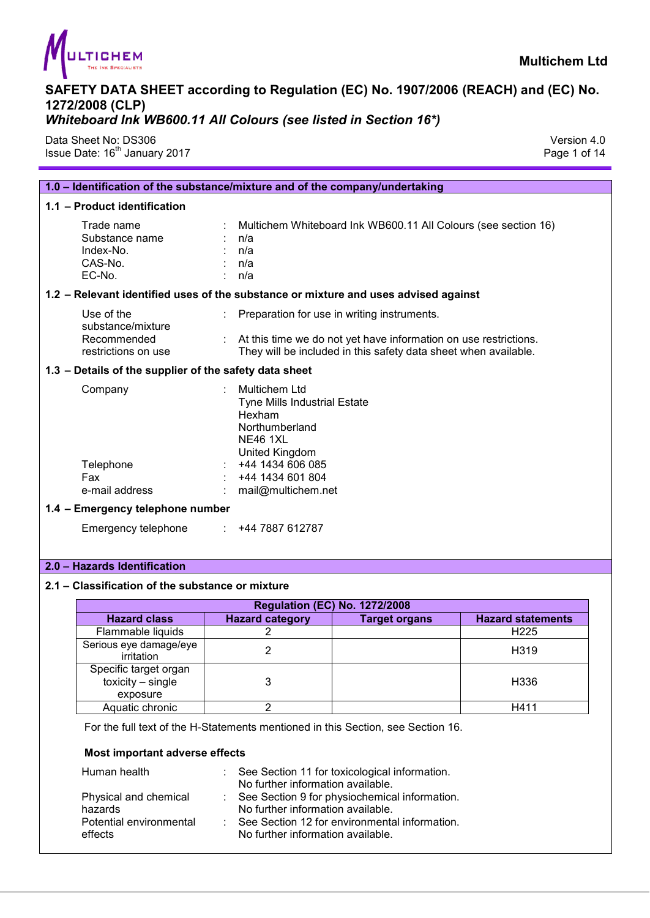

Data Sheet No: DS306 Version 4.0 Issue Date: 16<sup>th</sup> January 2017 **Page 1 of 14** Page 1 of 14

| 1.0 - Identification of the substance/mixture and of the company/undertaking |                                                                                                                                                                                            |  |  |
|------------------------------------------------------------------------------|--------------------------------------------------------------------------------------------------------------------------------------------------------------------------------------------|--|--|
| 1.1 - Product identification                                                 |                                                                                                                                                                                            |  |  |
| Trade name<br>Substance name<br>Index-No.<br>CAS-No.<br>EC-No.               | Multichem Whiteboard Ink WB600.11 All Colours (see section 16)<br>n/a<br>n/a<br>n/a<br>: n/a                                                                                               |  |  |
|                                                                              | 1.2 - Relevant identified uses of the substance or mixture and uses advised against                                                                                                        |  |  |
| Use of the<br>substance/mixture<br>Recommended<br>restrictions on use        | Preparation for use in writing instruments.<br>At this time we do not yet have information on use restrictions.<br>They will be included in this safety data sheet when available.         |  |  |
| 1.3 - Details of the supplier of the safety data sheet                       |                                                                                                                                                                                            |  |  |
| Company<br>Telephone<br>Fax<br>e-mail address                                | <b>Multichem Ltd</b><br><b>Tyne Mills Industrial Estate</b><br>Hexham<br>Northumberland<br><b>NE46 1XL</b><br>United Kingdom<br>+44 1434 606 085<br>+44 1434 601 804<br>mail@multichem.net |  |  |
| 1.4 - Emergency telephone number                                             |                                                                                                                                                                                            |  |  |
| Emergency telephone<br>÷                                                     | +44 7887 612787                                                                                                                                                                            |  |  |

#### **2.0 – Hazards Identification**

#### **2.1 – Classification of the substance or mixture**

| <b>Regulation (EC) No. 1272/2008</b>                     |                        |               |                          |  |  |
|----------------------------------------------------------|------------------------|---------------|--------------------------|--|--|
| <b>Hazard class</b>                                      | <b>Hazard category</b> | Target organs | <b>Hazard statements</b> |  |  |
| Flammable liquids                                        |                        |               | H <sub>225</sub>         |  |  |
| Serious eye damage/eye<br>irritation                     |                        |               | H <sub>319</sub>         |  |  |
| Specific target organ<br>toxicity $-$ single<br>exposure |                        |               | H336                     |  |  |
| Aquatic chronic                                          |                        |               | H411                     |  |  |

For the full text of the H-Statements mentioned in this Section, see Section 16.

#### **Most important adverse effects**

| Human health                                                           |    | See Section 11 for toxicological information.<br>No further information available.                                                                                         |
|------------------------------------------------------------------------|----|----------------------------------------------------------------------------------------------------------------------------------------------------------------------------|
| Physical and chemical<br>hazards<br>Potential environmental<br>effects | ×. | : See Section 9 for physiochemical information.<br>No further information available.<br>See Section 12 for environmental information.<br>No further information available. |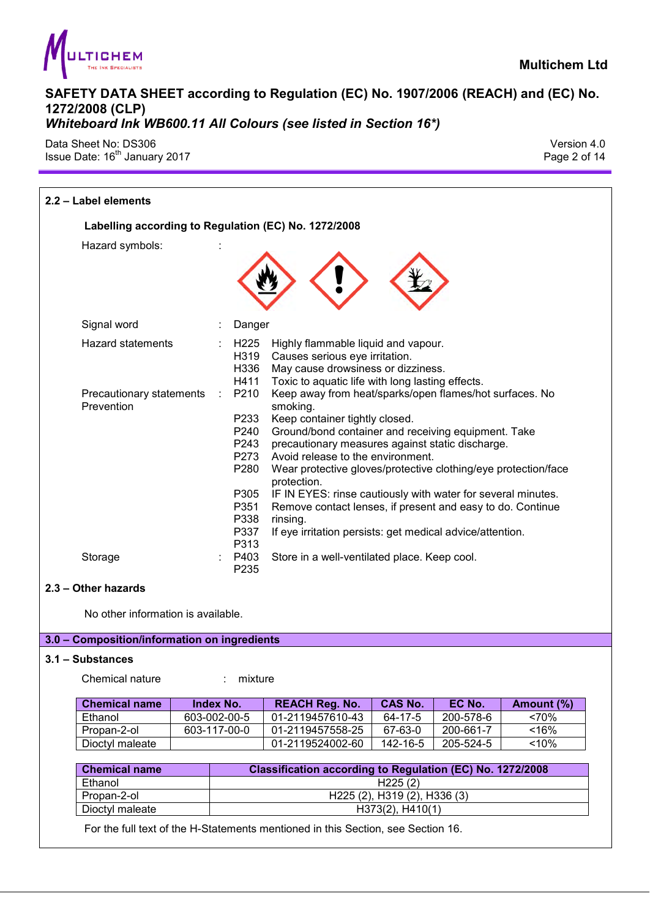

Data Sheet No: DS306 Version 4.0 Issue Date: 16<sup>th</sup> January 2017 **Page 2 of 14** Page 2 of 14

| 2.2 - Label elements                                               |                                                                                                                                  |                                                                                                                                                                                                                                                                                                                                                                                                                                                                                                                                                                                                                                                                                                                  |                |           |            |
|--------------------------------------------------------------------|----------------------------------------------------------------------------------------------------------------------------------|------------------------------------------------------------------------------------------------------------------------------------------------------------------------------------------------------------------------------------------------------------------------------------------------------------------------------------------------------------------------------------------------------------------------------------------------------------------------------------------------------------------------------------------------------------------------------------------------------------------------------------------------------------------------------------------------------------------|----------------|-----------|------------|
| Labelling according to Regulation (EC) No. 1272/2008               |                                                                                                                                  |                                                                                                                                                                                                                                                                                                                                                                                                                                                                                                                                                                                                                                                                                                                  |                |           |            |
| Hazard symbols:                                                    |                                                                                                                                  |                                                                                                                                                                                                                                                                                                                                                                                                                                                                                                                                                                                                                                                                                                                  |                |           |            |
| Signal word                                                        | Danger                                                                                                                           |                                                                                                                                                                                                                                                                                                                                                                                                                                                                                                                                                                                                                                                                                                                  |                |           |            |
| <b>Hazard statements</b><br>Precautionary statements<br>Prevention | H <sub>225</sub><br>H319<br>H336<br>H411<br>P210<br>P233<br>P240<br>P243<br>P273<br>P280<br>P305<br>P351<br>P338<br>P337<br>P313 | Highly flammable liquid and vapour.<br>Causes serious eye irritation.<br>May cause drowsiness or dizziness.<br>Toxic to aquatic life with long lasting effects.<br>Keep away from heat/sparks/open flames/hot surfaces. No<br>smoking.<br>Keep container tightly closed.<br>Ground/bond container and receiving equipment. Take<br>precautionary measures against static discharge.<br>Avoid release to the environment.<br>Wear protective gloves/protective clothing/eye protection/face<br>protection.<br>IF IN EYES: rinse cautiously with water for several minutes.<br>Remove contact lenses, if present and easy to do. Continue<br>rinsing.<br>If eye irritation persists: get medical advice/attention. |                |           |            |
| Storage                                                            | P403<br>P235                                                                                                                     | Store in a well-ventilated place. Keep cool.                                                                                                                                                                                                                                                                                                                                                                                                                                                                                                                                                                                                                                                                     |                |           |            |
| 2.3 - Other hazards                                                |                                                                                                                                  |                                                                                                                                                                                                                                                                                                                                                                                                                                                                                                                                                                                                                                                                                                                  |                |           |            |
| No other information is available.                                 |                                                                                                                                  |                                                                                                                                                                                                                                                                                                                                                                                                                                                                                                                                                                                                                                                                                                                  |                |           |            |
| 3.0 - Composition/information on ingredients                       |                                                                                                                                  |                                                                                                                                                                                                                                                                                                                                                                                                                                                                                                                                                                                                                                                                                                                  |                |           |            |
| 3.1 – Substances                                                   |                                                                                                                                  |                                                                                                                                                                                                                                                                                                                                                                                                                                                                                                                                                                                                                                                                                                                  |                |           |            |
| Chemical nature                                                    | : mixture                                                                                                                        |                                                                                                                                                                                                                                                                                                                                                                                                                                                                                                                                                                                                                                                                                                                  |                |           |            |
| <b>Chemical name</b><br>Index No.                                  |                                                                                                                                  | <b>REACH Reg. No.</b>                                                                                                                                                                                                                                                                                                                                                                                                                                                                                                                                                                                                                                                                                            | <b>CAS No.</b> | EC No.    | Amount (%) |
| 603-002-00-5<br>Ethanol                                            |                                                                                                                                  | 01-2119457610-43                                                                                                                                                                                                                                                                                                                                                                                                                                                                                                                                                                                                                                                                                                 | 64-17-5        | 200-578-6 | ~570%      |
| Propan-2-ol<br>603-117-00-0                                        |                                                                                                                                  | 01-2119457558-25                                                                                                                                                                                                                                                                                                                                                                                                                                                                                                                                                                                                                                                                                                 | 67-63-0        | 200-661-7 | < 16%      |
| Dioctyl maleate                                                    |                                                                                                                                  | 01-2119524002-60                                                                                                                                                                                                                                                                                                                                                                                                                                                                                                                                                                                                                                                                                                 | 142-16-5       | 205-524-5 | $10\%$     |

| <b>Chemical name</b> | Classification according to Regulation (EC) No. 1272/2008        |  |  |  |  |
|----------------------|------------------------------------------------------------------|--|--|--|--|
| Ethanol              | H225(2)                                                          |  |  |  |  |
| Propan-2-ol          | H <sub>225</sub> (2), H <sub>319</sub> (2), H <sub>336</sub> (3) |  |  |  |  |
| Dioctyl maleate      | H373(2), H410(1)                                                 |  |  |  |  |

For the full text of the H-Statements mentioned in this Section, see Section 16.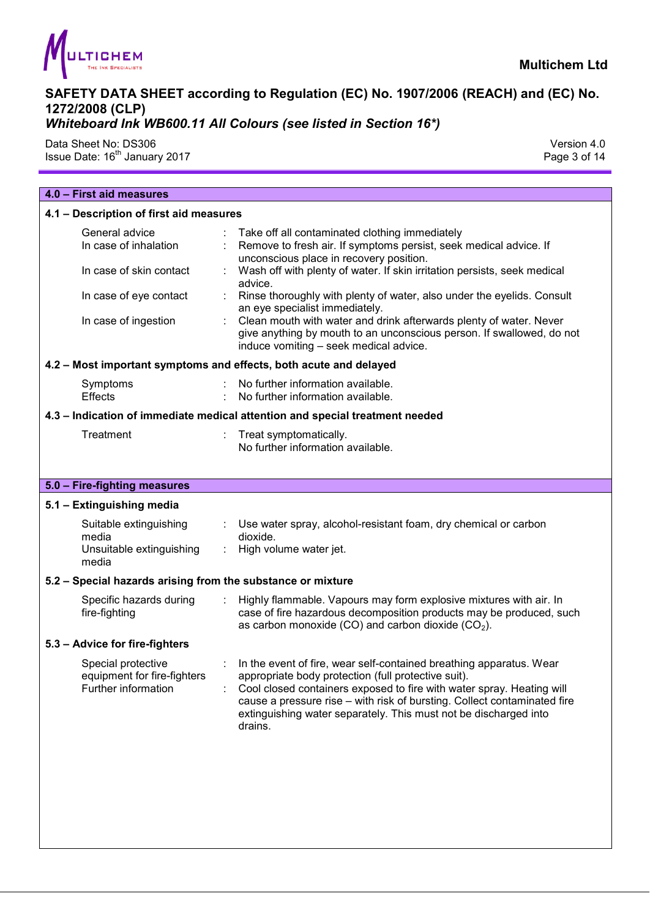

## *Whiteboard Ink WB600.11 All Colours (see listed in Section 16\*)*

Data Sheet No: DS306 Version 4.0 Issue Date: 16<sup>th</sup> January 2017 **Page 3 of 14** Page 3 of 14

| 4.0 - First aid measures                                                                                                                                                                                                                                                                                                                                                                                                                                                                                                                                          |  |  |  |
|-------------------------------------------------------------------------------------------------------------------------------------------------------------------------------------------------------------------------------------------------------------------------------------------------------------------------------------------------------------------------------------------------------------------------------------------------------------------------------------------------------------------------------------------------------------------|--|--|--|
| 4.1 - Description of first aid measures                                                                                                                                                                                                                                                                                                                                                                                                                                                                                                                           |  |  |  |
| Take off all contaminated clothing immediately<br>Remove to fresh air. If symptoms persist, seek medical advice. If<br>unconscious place in recovery position.<br>Wash off with plenty of water. If skin irritation persists, seek medical<br>advice.<br>Rinse thoroughly with plenty of water, also under the eyelids. Consult<br>÷<br>an eye specialist immediately.<br>: Clean mouth with water and drink afterwards plenty of water. Never<br>give anything by mouth to an unconscious person. If swallowed, do not<br>induce vomiting - seek medical advice. |  |  |  |
| 4.2 - Most important symptoms and effects, both acute and delayed                                                                                                                                                                                                                                                                                                                                                                                                                                                                                                 |  |  |  |
| No further information available.<br>No further information available.                                                                                                                                                                                                                                                                                                                                                                                                                                                                                            |  |  |  |
| 4.3 - Indication of immediate medical attention and special treatment needed                                                                                                                                                                                                                                                                                                                                                                                                                                                                                      |  |  |  |
| Treat symptomatically.<br>No further information available.                                                                                                                                                                                                                                                                                                                                                                                                                                                                                                       |  |  |  |
|                                                                                                                                                                                                                                                                                                                                                                                                                                                                                                                                                                   |  |  |  |
|                                                                                                                                                                                                                                                                                                                                                                                                                                                                                                                                                                   |  |  |  |
| : Use water spray, alcohol-resistant foam, dry chemical or carbon<br>dioxide.<br>High volume water jet.                                                                                                                                                                                                                                                                                                                                                                                                                                                           |  |  |  |
| 5.2 - Special hazards arising from the substance or mixture                                                                                                                                                                                                                                                                                                                                                                                                                                                                                                       |  |  |  |
| $\mathbb{R}^n$<br>Highly flammable. Vapours may form explosive mixtures with air. In<br>case of fire hazardous decomposition products may be produced, such<br>as carbon monoxide (CO) and carbon dioxide $(CO2)$ .                                                                                                                                                                                                                                                                                                                                               |  |  |  |
|                                                                                                                                                                                                                                                                                                                                                                                                                                                                                                                                                                   |  |  |  |
| : In the event of fire, wear self-contained breathing apparatus. Wear<br>appropriate body protection (full protective suit).<br>Cool closed containers exposed to fire with water spray. Heating will<br>cause a pressure rise - with risk of bursting. Collect contaminated fire<br>extinguishing water separately. This must not be discharged into<br>drains.                                                                                                                                                                                                  |  |  |  |
|                                                                                                                                                                                                                                                                                                                                                                                                                                                                                                                                                                   |  |  |  |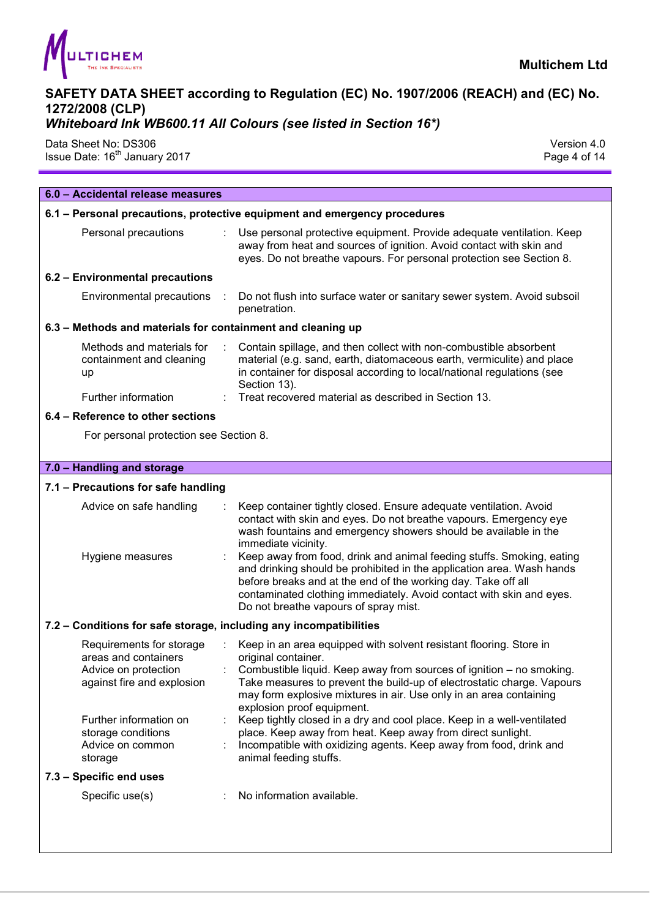

## *Whiteboard Ink WB600.11 All Colours (see listed in Section 16\*)*

Data Sheet No: DS306 Version 4.0 Issue Date: 16<sup>th</sup> January 2017 **Page 4 of 14** Security 2017

| 6.0 - Accidental release measures                                                                      |                                                                                                                                                                                                                                                                                                                                                                                                                                                                                                                                                                      |
|--------------------------------------------------------------------------------------------------------|----------------------------------------------------------------------------------------------------------------------------------------------------------------------------------------------------------------------------------------------------------------------------------------------------------------------------------------------------------------------------------------------------------------------------------------------------------------------------------------------------------------------------------------------------------------------|
|                                                                                                        | 6.1 - Personal precautions, protective equipment and emergency procedures                                                                                                                                                                                                                                                                                                                                                                                                                                                                                            |
| Personal precautions                                                                                   | Use personal protective equipment. Provide adequate ventilation. Keep<br>away from heat and sources of ignition. Avoid contact with skin and<br>eyes. Do not breathe vapours. For personal protection see Section 8.                                                                                                                                                                                                                                                                                                                                                 |
| 6.2 - Environmental precautions                                                                        |                                                                                                                                                                                                                                                                                                                                                                                                                                                                                                                                                                      |
| Environmental precautions :                                                                            | Do not flush into surface water or sanitary sewer system. Avoid subsoil<br>penetration.                                                                                                                                                                                                                                                                                                                                                                                                                                                                              |
| 6.3 - Methods and materials for containment and cleaning up                                            |                                                                                                                                                                                                                                                                                                                                                                                                                                                                                                                                                                      |
| Methods and materials for<br>containment and cleaning<br>up                                            | Contain spillage, and then collect with non-combustible absorbent<br>material (e.g. sand, earth, diatomaceous earth, vermiculite) and place<br>in container for disposal according to local/national regulations (see<br>Section 13).                                                                                                                                                                                                                                                                                                                                |
| Further information                                                                                    | Treat recovered material as described in Section 13.                                                                                                                                                                                                                                                                                                                                                                                                                                                                                                                 |
| 6.4 - Reference to other sections                                                                      |                                                                                                                                                                                                                                                                                                                                                                                                                                                                                                                                                                      |
| For personal protection see Section 8.                                                                 |                                                                                                                                                                                                                                                                                                                                                                                                                                                                                                                                                                      |
|                                                                                                        |                                                                                                                                                                                                                                                                                                                                                                                                                                                                                                                                                                      |
| 7.0 - Handling and storage                                                                             |                                                                                                                                                                                                                                                                                                                                                                                                                                                                                                                                                                      |
| 7.1 - Precautions for safe handling                                                                    |                                                                                                                                                                                                                                                                                                                                                                                                                                                                                                                                                                      |
| Advice on safe handling<br>Hygiene measures                                                            | Keep container tightly closed. Ensure adequate ventilation. Avoid<br>contact with skin and eyes. Do not breathe vapours. Emergency eye<br>wash fountains and emergency showers should be available in the<br>immediate vicinity.<br>Keep away from food, drink and animal feeding stuffs. Smoking, eating<br>and drinking should be prohibited in the application area. Wash hands<br>before breaks and at the end of the working day. Take off all<br>contaminated clothing immediately. Avoid contact with skin and eyes.<br>Do not breathe vapours of spray mist. |
| 7.2 - Conditions for safe storage, including any incompatibilities                                     |                                                                                                                                                                                                                                                                                                                                                                                                                                                                                                                                                                      |
| Requirements for storage<br>areas and containers<br>Advice on protection<br>against fire and explosion | Keep in an area equipped with solvent resistant flooring. Store in<br>original container.<br>Combustible liquid. Keep away from sources of ignition – no smoking.<br>Take measures to prevent the build-up of electrostatic charge. Vapours<br>may form explosive mixtures in air. Use only in an area containing<br>explosion proof equipment.                                                                                                                                                                                                                      |
| Further information on<br>storage conditions<br>Advice on common<br>storage                            | Keep tightly closed in a dry and cool place. Keep in a well-ventilated<br>place. Keep away from heat. Keep away from direct sunlight.<br>Incompatible with oxidizing agents. Keep away from food, drink and<br>animal feeding stuffs.                                                                                                                                                                                                                                                                                                                                |
| 7.3 - Specific end uses                                                                                |                                                                                                                                                                                                                                                                                                                                                                                                                                                                                                                                                                      |
| Specific use(s)                                                                                        | No information available.                                                                                                                                                                                                                                                                                                                                                                                                                                                                                                                                            |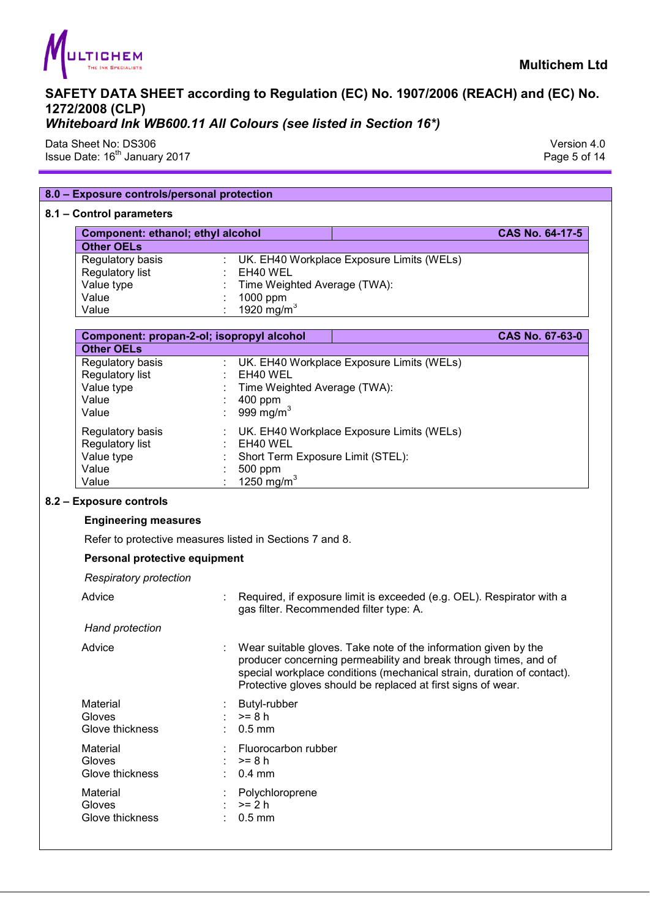

Data Sheet No: DS306 Version 4.0

Issue Date: 16<sup>th</sup> January 2017 **Page 5 of 14** Page 5 of 14

|                                           | 8.0 - Exposure controls/personal protection              |                                                                                                                                                                                                                                                                               |
|-------------------------------------------|----------------------------------------------------------|-------------------------------------------------------------------------------------------------------------------------------------------------------------------------------------------------------------------------------------------------------------------------------|
| 8.1 - Control parameters                  |                                                          |                                                                                                                                                                                                                                                                               |
| Component: ethanol; ethyl alcohol         |                                                          | CAS No. 64-17-5                                                                                                                                                                                                                                                               |
| <b>Other OELs</b>                         |                                                          |                                                                                                                                                                                                                                                                               |
| Regulatory basis                          | : UK. EH40 Workplace Exposure Limits (WELs)              |                                                                                                                                                                                                                                                                               |
| Regulatory list                           | EH40 WEL                                                 |                                                                                                                                                                                                                                                                               |
| Value type                                | Time Weighted Average (TWA):                             |                                                                                                                                                                                                                                                                               |
| Value                                     | 1000 ppm                                                 |                                                                                                                                                                                                                                                                               |
| Value                                     | $1920$ mg/m <sup>3</sup>                                 |                                                                                                                                                                                                                                                                               |
| Component: propan-2-ol; isopropyl alcohol |                                                          | CAS No. 67-63-0                                                                                                                                                                                                                                                               |
| <b>Other OELs</b>                         |                                                          |                                                                                                                                                                                                                                                                               |
| Regulatory basis                          | UK. EH40 Workplace Exposure Limits (WELs)                |                                                                                                                                                                                                                                                                               |
| Regulatory list                           | EH40 WEL                                                 |                                                                                                                                                                                                                                                                               |
| Value type                                | Time Weighted Average (TWA):                             |                                                                                                                                                                                                                                                                               |
| Value                                     | 400 ppm                                                  |                                                                                                                                                                                                                                                                               |
| Value                                     | 999 mg/m $3$                                             |                                                                                                                                                                                                                                                                               |
| Regulatory basis                          | UK. EH40 Workplace Exposure Limits (WELs)                |                                                                                                                                                                                                                                                                               |
| Regulatory list                           | EH40 WEL                                                 |                                                                                                                                                                                                                                                                               |
| Value type                                | Short Term Exposure Limit (STEL):                        |                                                                                                                                                                                                                                                                               |
| Value                                     | 500 ppm                                                  |                                                                                                                                                                                                                                                                               |
| Value                                     | 1250 mg/m <sup>3</sup>                                   |                                                                                                                                                                                                                                                                               |
| 8.2 - Exposure controls                   |                                                          |                                                                                                                                                                                                                                                                               |
| <b>Engineering measures</b>               |                                                          |                                                                                                                                                                                                                                                                               |
|                                           | Refer to protective measures listed in Sections 7 and 8. |                                                                                                                                                                                                                                                                               |
| Personal protective equipment             |                                                          |                                                                                                                                                                                                                                                                               |
| <b>Respiratory protection</b>             |                                                          |                                                                                                                                                                                                                                                                               |
| Advice                                    | gas filter. Recommended filter type: A.                  | Required, if exposure limit is exceeded (e.g. OEL). Respirator with a                                                                                                                                                                                                         |
|                                           |                                                          |                                                                                                                                                                                                                                                                               |
| Hand protection                           |                                                          |                                                                                                                                                                                                                                                                               |
| Advice                                    |                                                          | Wear suitable gloves. Take note of the information given by the<br>producer concerning permeability and break through times, and of<br>special workplace conditions (mechanical strain, duration of contact).<br>Protective gloves should be replaced at first signs of wear. |
|                                           |                                                          |                                                                                                                                                                                                                                                                               |
| Material<br>Gloves                        | Butyl-rubber<br>$>= 8 h$                                 |                                                                                                                                                                                                                                                                               |
| Glove thickness                           | $0.5$ mm                                                 |                                                                                                                                                                                                                                                                               |
|                                           |                                                          |                                                                                                                                                                                                                                                                               |
| Material                                  | Fluorocarbon rubber                                      |                                                                                                                                                                                                                                                                               |
| Gloves                                    | $>= 8 h$                                                 |                                                                                                                                                                                                                                                                               |
| Glove thickness                           | $0.4$ mm                                                 |                                                                                                                                                                                                                                                                               |
| Material                                  | Polychloroprene                                          |                                                                                                                                                                                                                                                                               |
| Gloves<br>Glove thickness                 | $>= 2 h$<br>$0.5$ mm                                     |                                                                                                                                                                                                                                                                               |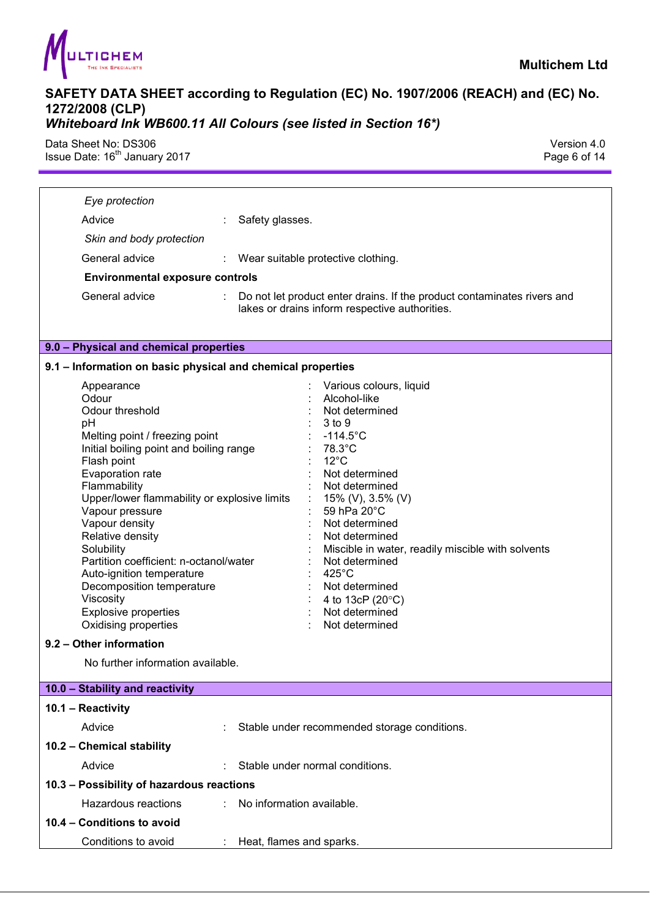

Data Sheet No: DS306 Version 4.0 Issue Date: 16<sup>th</sup> January 2017 **Page 6 of 14** Page 6 of 14

| Eye protection                                                                                                                                                                                                                                                                                                                                                                                                                                                                                                                                                                                                                                                                                                                                                                                                                                                             |
|----------------------------------------------------------------------------------------------------------------------------------------------------------------------------------------------------------------------------------------------------------------------------------------------------------------------------------------------------------------------------------------------------------------------------------------------------------------------------------------------------------------------------------------------------------------------------------------------------------------------------------------------------------------------------------------------------------------------------------------------------------------------------------------------------------------------------------------------------------------------------|
| Advice<br>Safety glasses.                                                                                                                                                                                                                                                                                                                                                                                                                                                                                                                                                                                                                                                                                                                                                                                                                                                  |
| Skin and body protection                                                                                                                                                                                                                                                                                                                                                                                                                                                                                                                                                                                                                                                                                                                                                                                                                                                   |
| General advice<br>: Wear suitable protective clothing.                                                                                                                                                                                                                                                                                                                                                                                                                                                                                                                                                                                                                                                                                                                                                                                                                     |
| <b>Environmental exposure controls</b>                                                                                                                                                                                                                                                                                                                                                                                                                                                                                                                                                                                                                                                                                                                                                                                                                                     |
| General advice<br>Do not let product enter drains. If the product contaminates rivers and<br>lakes or drains inform respective authorities.                                                                                                                                                                                                                                                                                                                                                                                                                                                                                                                                                                                                                                                                                                                                |
| 9.0 - Physical and chemical properties                                                                                                                                                                                                                                                                                                                                                                                                                                                                                                                                                                                                                                                                                                                                                                                                                                     |
| 9.1 - Information on basic physical and chemical properties                                                                                                                                                                                                                                                                                                                                                                                                                                                                                                                                                                                                                                                                                                                                                                                                                |
| Various colours, liquid<br>Appearance<br>Odour<br>Alcohol-like<br>Odour threshold<br>Not determined<br>pH<br>3 to 9<br>$-114.5^{\circ}$ C<br>Melting point / freezing point<br>Initial boiling point and boiling range<br>78.3°C<br>$12^{\circ}$ C<br>Flash point<br>Evaporation rate<br>Not determined<br>Flammability<br>Not determined<br>Upper/lower flammability or explosive limits<br>15% (V), 3.5% (V)<br>59 hPa 20°C<br>Vapour pressure<br>Vapour density<br>Not determined<br>Relative density<br>Not determined<br>Solubility<br>Miscible in water, readily miscible with solvents<br>Partition coefficient: n-octanol/water<br>Not determined<br>425°C<br>Auto-ignition temperature<br>Decomposition temperature<br>Not determined<br>Viscosity<br>4 to 13cP (20°C)<br><b>Explosive properties</b><br>Not determined<br>Oxidising properties<br>Not determined |
| 9.2 - Other information                                                                                                                                                                                                                                                                                                                                                                                                                                                                                                                                                                                                                                                                                                                                                                                                                                                    |
| No further information available.                                                                                                                                                                                                                                                                                                                                                                                                                                                                                                                                                                                                                                                                                                                                                                                                                                          |
| 10.0 - Stability and reactivity                                                                                                                                                                                                                                                                                                                                                                                                                                                                                                                                                                                                                                                                                                                                                                                                                                            |
| 10.1 - Reactivity                                                                                                                                                                                                                                                                                                                                                                                                                                                                                                                                                                                                                                                                                                                                                                                                                                                          |
| Advice<br>Stable under recommended storage conditions.                                                                                                                                                                                                                                                                                                                                                                                                                                                                                                                                                                                                                                                                                                                                                                                                                     |
| 10.2 - Chemical stability                                                                                                                                                                                                                                                                                                                                                                                                                                                                                                                                                                                                                                                                                                                                                                                                                                                  |
| Advice<br>Stable under normal conditions.                                                                                                                                                                                                                                                                                                                                                                                                                                                                                                                                                                                                                                                                                                                                                                                                                                  |
| 10.3 - Possibility of hazardous reactions                                                                                                                                                                                                                                                                                                                                                                                                                                                                                                                                                                                                                                                                                                                                                                                                                                  |
| Hazardous reactions<br>No information available.                                                                                                                                                                                                                                                                                                                                                                                                                                                                                                                                                                                                                                                                                                                                                                                                                           |
| 10.4 - Conditions to avoid                                                                                                                                                                                                                                                                                                                                                                                                                                                                                                                                                                                                                                                                                                                                                                                                                                                 |
| Conditions to avoid<br>Heat, flames and sparks.                                                                                                                                                                                                                                                                                                                                                                                                                                                                                                                                                                                                                                                                                                                                                                                                                            |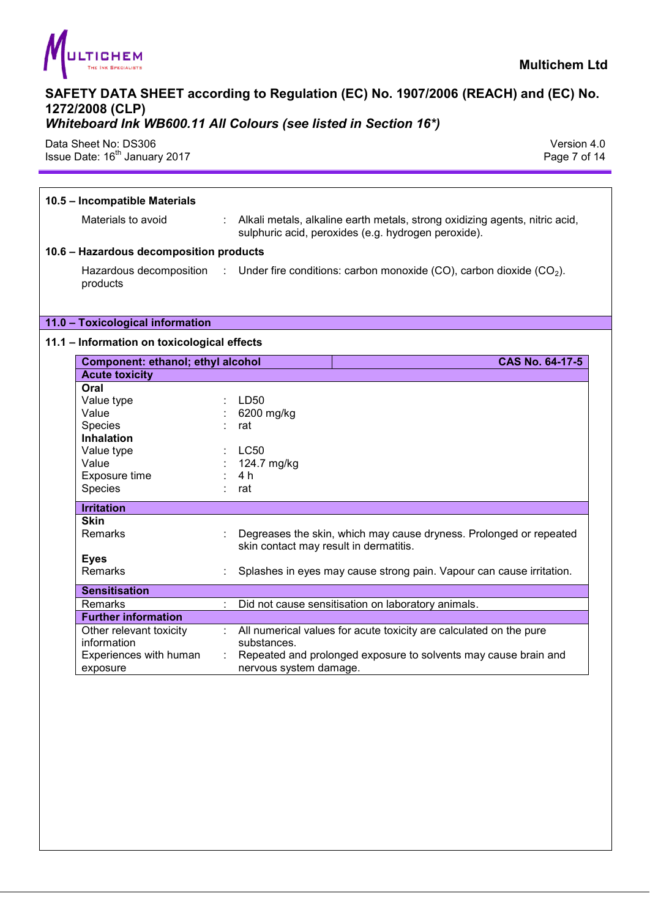

## *Whiteboard Ink WB600.11 All Colours (see listed in Section 16\*)*

Data Sheet No: DS306 Version 4.0 Issue Date: 16<sup>th</sup> January 2017 **Page 7 of 14** Superior 2017

| 10.5 - Incompatible Materials               |   |                                                                                                                                      |  |  |
|---------------------------------------------|---|--------------------------------------------------------------------------------------------------------------------------------------|--|--|
| Materials to avoid                          |   | : Alkali metals, alkaline earth metals, strong oxidizing agents, nitric acid,<br>sulphuric acid, peroxides (e.g. hydrogen peroxide). |  |  |
| 10.6 - Hazardous decomposition products     |   |                                                                                                                                      |  |  |
| products                                    |   | Hazardous decomposition : Under fire conditions: carbon monoxide (CO), carbon dioxide (CO <sub>2</sub> ).                            |  |  |
| 11.0 - Toxicological information            |   |                                                                                                                                      |  |  |
| 11.1 - Information on toxicological effects |   |                                                                                                                                      |  |  |
| Component: ethanol; ethyl alcohol           |   | <b>CAS No. 64-17-5</b>                                                                                                               |  |  |
| <b>Acute toxicity</b>                       |   |                                                                                                                                      |  |  |
| Oral                                        |   |                                                                                                                                      |  |  |
| Value type                                  |   | LD50                                                                                                                                 |  |  |
| Value                                       |   | 6200 mg/kg                                                                                                                           |  |  |
| Species                                     |   | rat                                                                                                                                  |  |  |
| <b>Inhalation</b>                           |   |                                                                                                                                      |  |  |
| Value type                                  |   | <b>LC50</b>                                                                                                                          |  |  |
| Value                                       |   | 124.7 mg/kg                                                                                                                          |  |  |
| Exposure time                               |   | 4 h                                                                                                                                  |  |  |
| Species                                     |   | rat                                                                                                                                  |  |  |
| <b>Irritation</b>                           |   |                                                                                                                                      |  |  |
| <b>Skin</b>                                 |   |                                                                                                                                      |  |  |
| Remarks                                     |   | Degreases the skin, which may cause dryness. Prolonged or repeated<br>skin contact may result in dermatitis.                         |  |  |
| <b>Eyes</b>                                 |   |                                                                                                                                      |  |  |
| Remarks                                     |   | Splashes in eyes may cause strong pain. Vapour can cause irritation.                                                                 |  |  |
| <b>Sensitisation</b>                        |   |                                                                                                                                      |  |  |
| Remarks                                     | ÷ | Did not cause sensitisation on laboratory animals.                                                                                   |  |  |
| <b>Further information</b>                  |   |                                                                                                                                      |  |  |
| Other relevant toxicity<br>information      |   | : All numerical values for acute toxicity are calculated on the pure<br>substances.                                                  |  |  |
| Experiences with human                      |   | : Repeated and prolonged exposure to solvents may cause brain and                                                                    |  |  |
| exposure                                    |   | nervous system damage.                                                                                                               |  |  |
|                                             |   |                                                                                                                                      |  |  |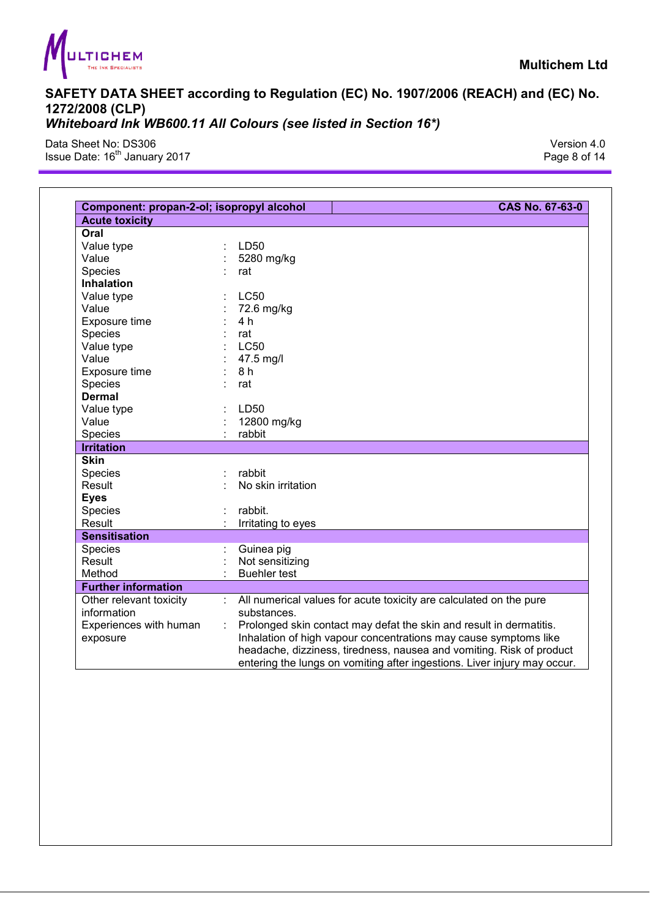

Data Sheet No: DS306 Version 4.0 Issue Date: 16<sup>th</sup> January 2017 **Page 8 of 14** Page 8 of 14

| Component: propan-2-ol; isopropyl alcohol |   | CAS No. 67-63-0                                                                                                                                  |
|-------------------------------------------|---|--------------------------------------------------------------------------------------------------------------------------------------------------|
| <b>Acute toxicity</b>                     |   |                                                                                                                                                  |
| Oral                                      |   |                                                                                                                                                  |
| Value type                                |   | LD50                                                                                                                                             |
| Value                                     |   | 5280 mg/kg                                                                                                                                       |
| Species                                   |   | rat                                                                                                                                              |
| <b>Inhalation</b>                         |   |                                                                                                                                                  |
| Value type                                |   | <b>LC50</b>                                                                                                                                      |
| Value                                     |   | 72.6 mg/kg                                                                                                                                       |
| Exposure time                             |   | 4 h                                                                                                                                              |
| Species                                   |   | rat                                                                                                                                              |
| Value type                                |   | <b>LC50</b>                                                                                                                                      |
| Value                                     |   | 47.5 mg/l                                                                                                                                        |
| Exposure time                             |   | 8 h                                                                                                                                              |
| Species                                   |   | rat                                                                                                                                              |
| <b>Dermal</b>                             |   |                                                                                                                                                  |
| Value type                                |   | LD50                                                                                                                                             |
| Value                                     |   | 12800 mg/kg                                                                                                                                      |
| Species                                   |   | rabbit                                                                                                                                           |
| <b>Irritation</b>                         |   |                                                                                                                                                  |
| <b>Skin</b>                               |   |                                                                                                                                                  |
| Species                                   |   | rabbit                                                                                                                                           |
| Result                                    |   | No skin irritation                                                                                                                               |
| <b>Eyes</b>                               |   |                                                                                                                                                  |
| Species                                   |   | rabbit.                                                                                                                                          |
| Result                                    |   | Irritating to eyes                                                                                                                               |
| <b>Sensitisation</b>                      |   |                                                                                                                                                  |
| Species                                   |   | Guinea pig                                                                                                                                       |
| Result                                    |   | Not sensitizing                                                                                                                                  |
| Method                                    |   | <b>Buehler test</b>                                                                                                                              |
| <b>Further information</b>                |   |                                                                                                                                                  |
| Other relevant toxicity                   |   | All numerical values for acute toxicity are calculated on the pure                                                                               |
| information                               |   | substances.                                                                                                                                      |
| Experiences with human                    | ÷ | Prolonged skin contact may defat the skin and result in dermatitis.                                                                              |
| exposure                                  |   | Inhalation of high vapour concentrations may cause symptoms like                                                                                 |
|                                           |   | headache, dizziness, tiredness, nausea and vomiting. Risk of product<br>entering the lungs on vomiting after ingestions. Liver injury may occur. |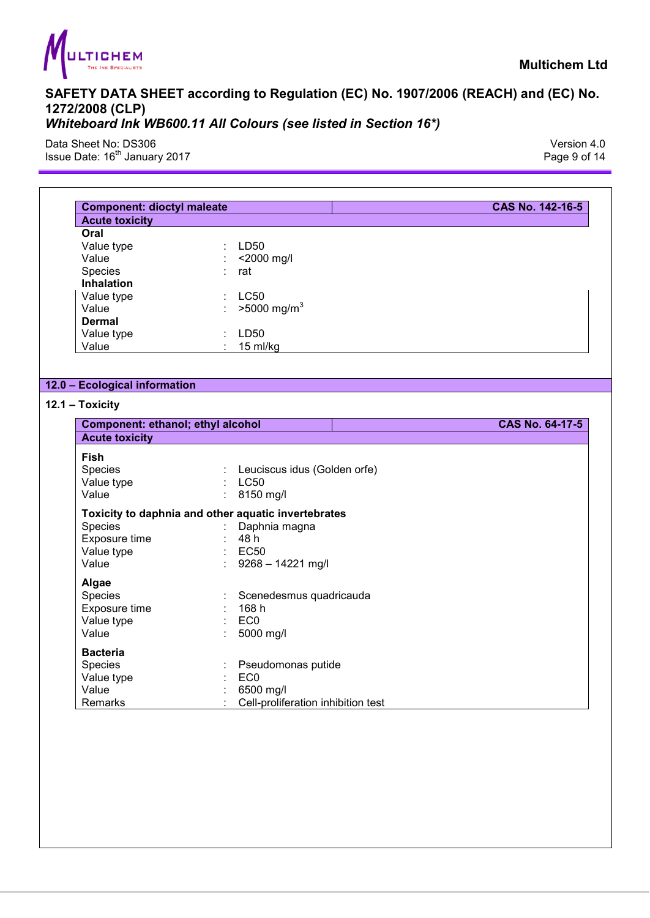

Data Sheet No: DS306 Version 4.0 Issue Date: 16<sup>th</sup> January 2017 **Page 9 of 14** Page 9 of 14

| <b>Component: dioctyl maleate</b>                            |                                                                                                                    | CAS No. 142-16-5 |
|--------------------------------------------------------------|--------------------------------------------------------------------------------------------------------------------|------------------|
| <b>Acute toxicity</b>                                        |                                                                                                                    |                  |
| Oral<br>Value type<br>Value<br>Species                       | LD50<br><2000 mg/l<br>rat                                                                                          |                  |
| <b>Inhalation</b><br>Value type<br>Value<br><b>Dermal</b>    | <b>LC50</b><br>$>5000$ mg/m <sup>3</sup>                                                                           |                  |
| Value type<br>Value                                          | LD50<br>15 ml/kg                                                                                                   |                  |
| 12.0 - Ecological information                                |                                                                                                                    |                  |
| 12.1 - Toxicity                                              |                                                                                                                    |                  |
| Component: ethanol; ethyl alcohol                            |                                                                                                                    | CAS No. 64-17-5  |
| <b>Acute toxicity</b>                                        |                                                                                                                    |                  |
| Fish<br>Species<br>Value type<br>Value                       | Leuciscus idus (Golden orfe)<br><b>LC50</b><br>$\mathcal{L}^{\mathcal{L}}$<br>8150 mg/l                            |                  |
| Species<br>Exposure time<br>Value type<br>Value              | Toxicity to daphnia and other aquatic invertebrates<br>Daphnia magna<br>48 h<br><b>EC50</b><br>$9268 - 14221$ mg/l |                  |
| Algae<br>Species<br>Exposure time<br>Value type<br>Value     | Scenedesmus quadricauda<br>168 h<br>EC <sub>0</sub><br>5000 mg/l                                                   |                  |
| <b>Bacteria</b><br>Species<br>Value type<br>Value<br>Remarks | Pseudomonas putide<br>EC <sub>0</sub><br>6500 mg/l<br>Cell-proliferation inhibition test                           |                  |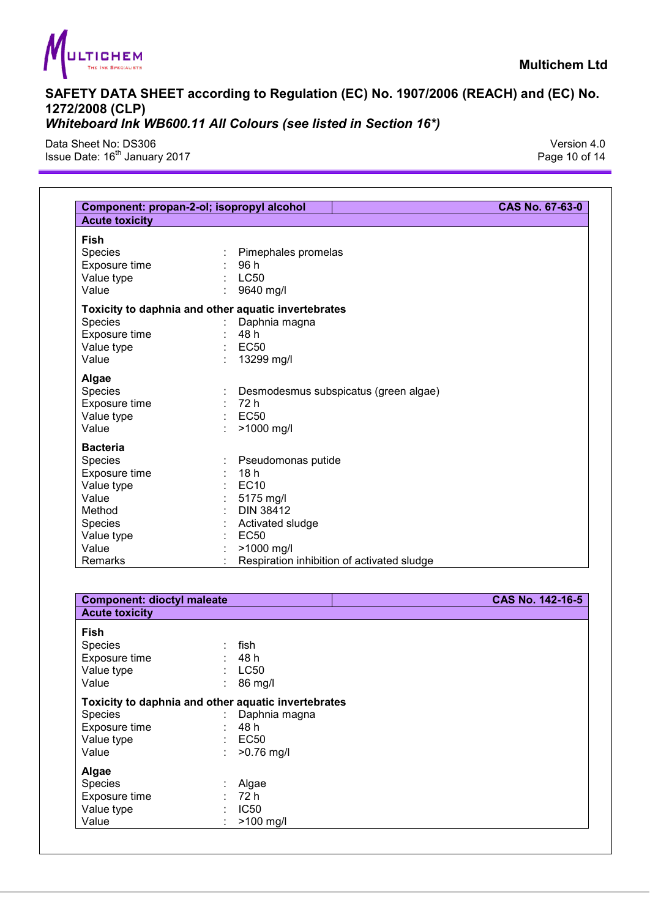

Data Sheet No: DS306 Version 4.0 Issue Date: 16<sup>th</sup> January 2017 **Page 10 of 14** Security 1990 12: 18th Page 10 of 14

Species : Algae<br>
Exposure time : 72 h Exposure time : 72 h<br>Value type : IC50

 $:$  >100 mg/l

Value type<br>Value

| Pimephales promelas<br>96 h<br>: LC50<br>$\mathbb{R}^n$<br>9640 mg/l<br>Toxicity to daphnia and other aquatic invertebrates<br>$\mathbb{Z}^+$<br>Daphnia magna<br>48 h<br>$\mathcal{L}^{\mathcal{L}}$<br><b>EC50</b><br>13299 mg/l<br>Desmodesmus subspicatus (green algae)<br>72 h<br><b>EC50</b> |                                                     |
|----------------------------------------------------------------------------------------------------------------------------------------------------------------------------------------------------------------------------------------------------------------------------------------------------|-----------------------------------------------------|
|                                                                                                                                                                                                                                                                                                    |                                                     |
|                                                                                                                                                                                                                                                                                                    |                                                     |
|                                                                                                                                                                                                                                                                                                    |                                                     |
|                                                                                                                                                                                                                                                                                                    |                                                     |
|                                                                                                                                                                                                                                                                                                    |                                                     |
|                                                                                                                                                                                                                                                                                                    |                                                     |
|                                                                                                                                                                                                                                                                                                    |                                                     |
|                                                                                                                                                                                                                                                                                                    |                                                     |
|                                                                                                                                                                                                                                                                                                    |                                                     |
|                                                                                                                                                                                                                                                                                                    |                                                     |
|                                                                                                                                                                                                                                                                                                    |                                                     |
|                                                                                                                                                                                                                                                                                                    |                                                     |
|                                                                                                                                                                                                                                                                                                    |                                                     |
|                                                                                                                                                                                                                                                                                                    |                                                     |
|                                                                                                                                                                                                                                                                                                    |                                                     |
|                                                                                                                                                                                                                                                                                                    |                                                     |
| >1000 mg/l                                                                                                                                                                                                                                                                                         |                                                     |
|                                                                                                                                                                                                                                                                                                    |                                                     |
|                                                                                                                                                                                                                                                                                                    |                                                     |
| Pseudomonas putide<br>18h                                                                                                                                                                                                                                                                          |                                                     |
| $\mathbb{R}^2$<br><b>EC10</b>                                                                                                                                                                                                                                                                      |                                                     |
|                                                                                                                                                                                                                                                                                                    |                                                     |
| 5175 mg/l                                                                                                                                                                                                                                                                                          |                                                     |
| <b>DIN 38412</b>                                                                                                                                                                                                                                                                                   |                                                     |
| Activated sludge                                                                                                                                                                                                                                                                                   |                                                     |
| <b>EC50</b>                                                                                                                                                                                                                                                                                        |                                                     |
| >1000 mg/l                                                                                                                                                                                                                                                                                         |                                                     |
| Respiration inhibition of activated sludge                                                                                                                                                                                                                                                         |                                                     |
|                                                                                                                                                                                                                                                                                                    |                                                     |
| <b>Component: dioctyl maleate</b>                                                                                                                                                                                                                                                                  | CAS No. 142-16-5                                    |
|                                                                                                                                                                                                                                                                                                    |                                                     |
|                                                                                                                                                                                                                                                                                                    |                                                     |
|                                                                                                                                                                                                                                                                                                    |                                                     |
| fish<br>: 48h                                                                                                                                                                                                                                                                                      |                                                     |
| $\mathbb{R}^2$<br><b>LC50</b>                                                                                                                                                                                                                                                                      |                                                     |
|                                                                                                                                                                                                                                                                                                    |                                                     |
| 86 mg/l                                                                                                                                                                                                                                                                                            |                                                     |
|                                                                                                                                                                                                                                                                                                    |                                                     |
| Daphnia magna                                                                                                                                                                                                                                                                                      |                                                     |
| 48 h                                                                                                                                                                                                                                                                                               |                                                     |
|                                                                                                                                                                                                                                                                                                    |                                                     |
| <b>EC50</b>                                                                                                                                                                                                                                                                                        |                                                     |
| $>0.76$ mg/l                                                                                                                                                                                                                                                                                       |                                                     |
|                                                                                                                                                                                                                                                                                                    | Toxicity to daphnia and other aquatic invertebrates |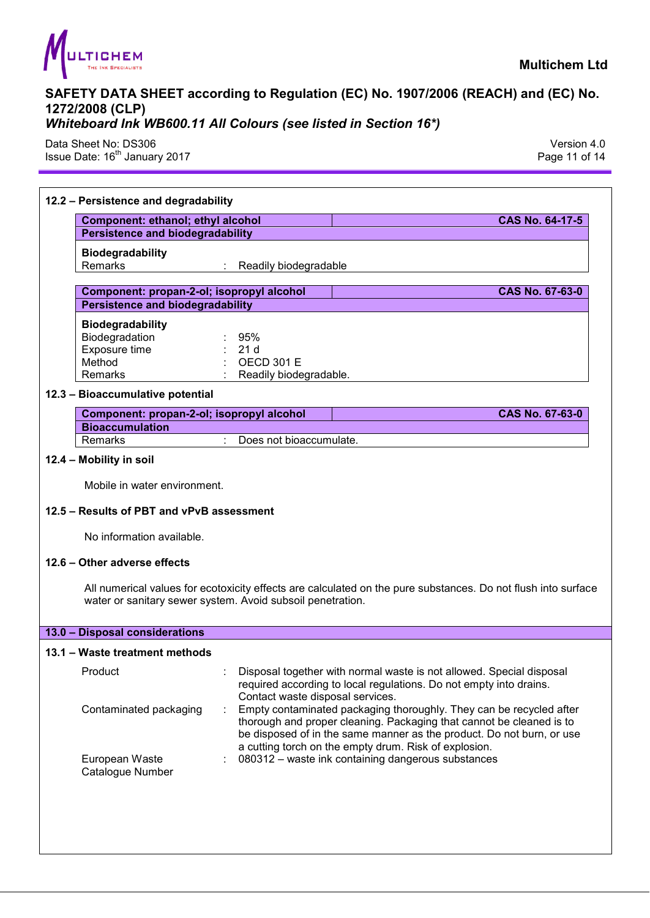

*Whiteboard Ink WB600.11 All Colours (see listed in Section 16\*)* 

Data Sheet No: DS306 Version 4.0 Issue Date: 16<sup>th</sup> January 2017

## **12.2 – Persistence and degradability Component: ethanol; ethyl alcohol CAS No. 64-17-5 Persistence and biodegradability Biodegradability**  Remarks : Readily biodegradable **Component: propan-2-ol; isopropyl alcohol**  CAS No. 67-63-0 **Persistence and biodegradability Biodegradability**  Biodegradation : 95% Exposure time : 21 d Method : OECD 301 E<br>Remarks : Readily biode Readily biodegradable. **12.3 – Bioaccumulative potential Component: propan-2-ol; isopropyl alcohol CAS No. 67-63-0**  CAS No. 67-63-0 **Bioaccumulation**  Remarks : Does not bioaccumulate. **12.4 – Mobility in soil**  Mobile in water environment. **12.5 – Results of PBT and vPvB assessment**  No information available. **12.6 – Other adverse effects**  All numerical values for ecotoxicity effects are calculated on the pure substances. Do not flush into surface water or sanitary sewer system. Avoid subsoil penetration. **13.0 – Disposal considerations 13.1 – Waste treatment methods**  Product **Subset : Disposal together with normal waste is not allowed. Special disposal** required according to local regulations. Do not empty into drains. Contact waste disposal services. Contaminated packaging : Empty contaminated packaging thoroughly. They can be recycled after thorough and proper cleaning. Packaging that cannot be cleaned is to be disposed of in the same manner as the product. Do not burn, or use a cutting torch on the empty drum. Risk of explosion. European Waste Catalogue Number : 080312 – waste ink containing dangerous substances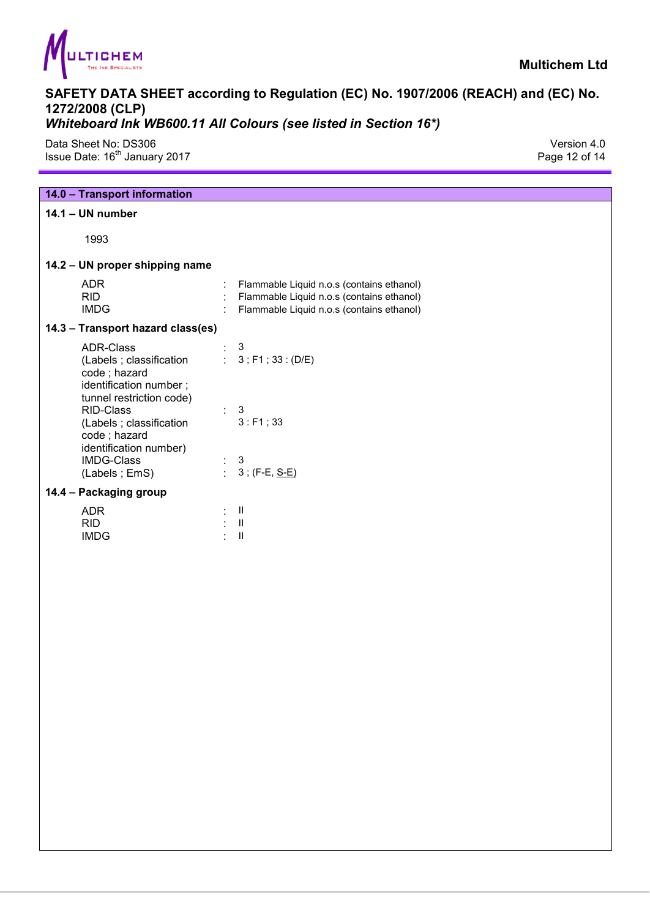

Data Sheet No: DS306 Version 4.0 Issue Date: 16<sup>th</sup> January 2017 **Page 12 of 14** Superior Section 2017

| 14.0 - Transport information                                                                                       |        |                                                                                                                                     |
|--------------------------------------------------------------------------------------------------------------------|--------|-------------------------------------------------------------------------------------------------------------------------------------|
| $14.1 - UN number$                                                                                                 |        |                                                                                                                                     |
| 1993                                                                                                               |        |                                                                                                                                     |
| 14.2 - UN proper shipping name                                                                                     |        |                                                                                                                                     |
| <b>ADR</b><br><b>RID</b><br><b>IMDG</b>                                                                            |        | Flammable Liquid n.o.s (contains ethanol)<br>Flammable Liquid n.o.s (contains ethanol)<br>Flammable Liquid n.o.s (contains ethanol) |
| 14.3 - Transport hazard class(es)                                                                                  |        |                                                                                                                                     |
| <b>ADR-Class</b><br>(Labels ; classification<br>code; hazard<br>identification number;<br>tunnel restriction code) |        | 3<br>: $3$ ; F1; 33: (D/E)                                                                                                          |
| RID-Class<br>(Labels ; classification<br>code; hazard<br>identification number)                                    |        | $\mathbf{3}$<br>3: F1; 33                                                                                                           |
| <b>IMDG-Class</b><br>(Labels; EmS)                                                                                 | $\Box$ | 3<br>$3$ ; (F-E, $S-E$ )                                                                                                            |
| 14.4 - Packaging group                                                                                             |        |                                                                                                                                     |
| <b>ADR</b><br><b>RID</b><br><b>IMDG</b>                                                                            |        | $\mathbf{II}$<br>$\mathbf{II}$<br>$\mathbf{II}$                                                                                     |
|                                                                                                                    |        |                                                                                                                                     |
|                                                                                                                    |        |                                                                                                                                     |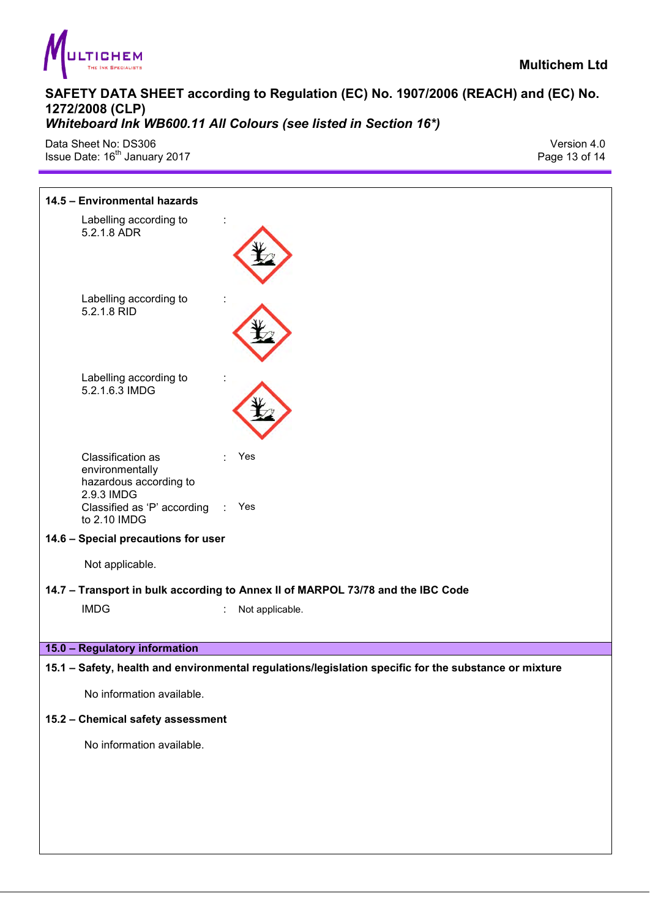

Data Sheet No: DS306 Version 4.0 Issue Date: 16<sup>th</sup> January 2017

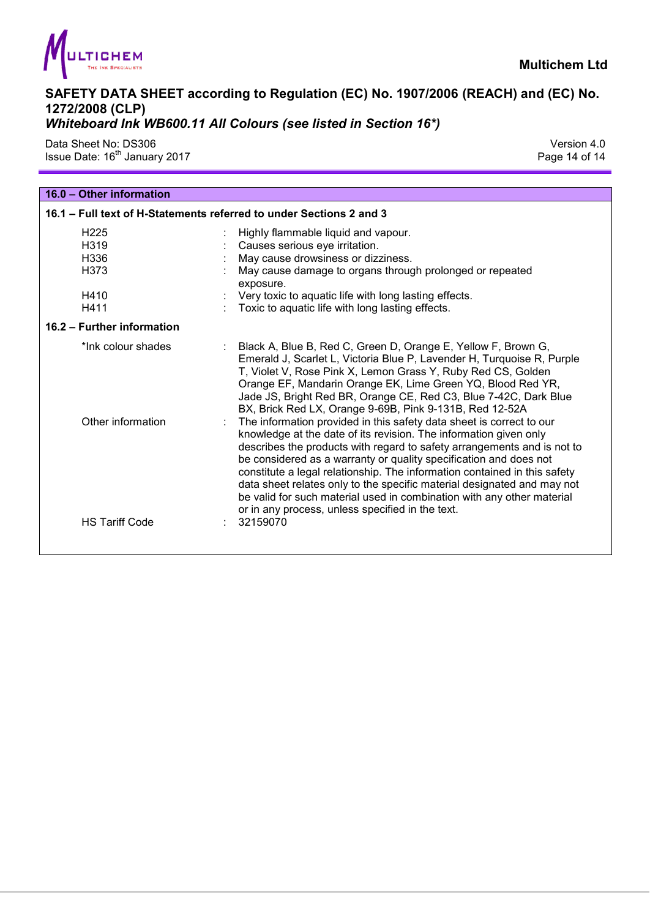

Data Sheet No: DS306 Version 4.0 Issue Date: 16<sup>th</sup> January 2017 **Page 14 of 14** Security 2017

| 16.0 - Other information   |                                                                                                                                                                                                                                                                                                                                                                                                                                                                                                                                                                                 |
|----------------------------|---------------------------------------------------------------------------------------------------------------------------------------------------------------------------------------------------------------------------------------------------------------------------------------------------------------------------------------------------------------------------------------------------------------------------------------------------------------------------------------------------------------------------------------------------------------------------------|
|                            | 16.1 - Full text of H-Statements referred to under Sections 2 and 3                                                                                                                                                                                                                                                                                                                                                                                                                                                                                                             |
| H <sub>225</sub>           | Highly flammable liquid and vapour.                                                                                                                                                                                                                                                                                                                                                                                                                                                                                                                                             |
| H <sub>319</sub>           | Causes serious eye irritation.                                                                                                                                                                                                                                                                                                                                                                                                                                                                                                                                                  |
| H <sub>336</sub>           | May cause drowsiness or dizziness.                                                                                                                                                                                                                                                                                                                                                                                                                                                                                                                                              |
| H <sub>373</sub>           | May cause damage to organs through prolonged or repeated<br>exposure.                                                                                                                                                                                                                                                                                                                                                                                                                                                                                                           |
| H410                       | Very toxic to aquatic life with long lasting effects.                                                                                                                                                                                                                                                                                                                                                                                                                                                                                                                           |
| H411                       | Toxic to aquatic life with long lasting effects.                                                                                                                                                                                                                                                                                                                                                                                                                                                                                                                                |
| 16.2 - Further information |                                                                                                                                                                                                                                                                                                                                                                                                                                                                                                                                                                                 |
| *Ink colour shades         | Black A, Blue B, Red C, Green D, Orange E, Yellow F, Brown G,<br>Emerald J, Scarlet L, Victoria Blue P, Lavender H, Turquoise R, Purple<br>T, Violet V, Rose Pink X, Lemon Grass Y, Ruby Red CS, Golden<br>Orange EF, Mandarin Orange EK, Lime Green YQ, Blood Red YR,<br>Jade JS, Bright Red BR, Orange CE, Red C3, Blue 7-42C, Dark Blue<br>BX, Brick Red LX, Orange 9-69B, Pink 9-131B, Red 12-52A                                                                                                                                                                           |
| Other information          | The information provided in this safety data sheet is correct to our<br>knowledge at the date of its revision. The information given only<br>describes the products with regard to safety arrangements and is not to<br>be considered as a warranty or quality specification and does not<br>constitute a legal relationship. The information contained in this safety<br>data sheet relates only to the specific material designated and may not<br>be valid for such material used in combination with any other material<br>or in any process, unless specified in the text. |
| <b>HS Tariff Code</b>      | 32159070                                                                                                                                                                                                                                                                                                                                                                                                                                                                                                                                                                        |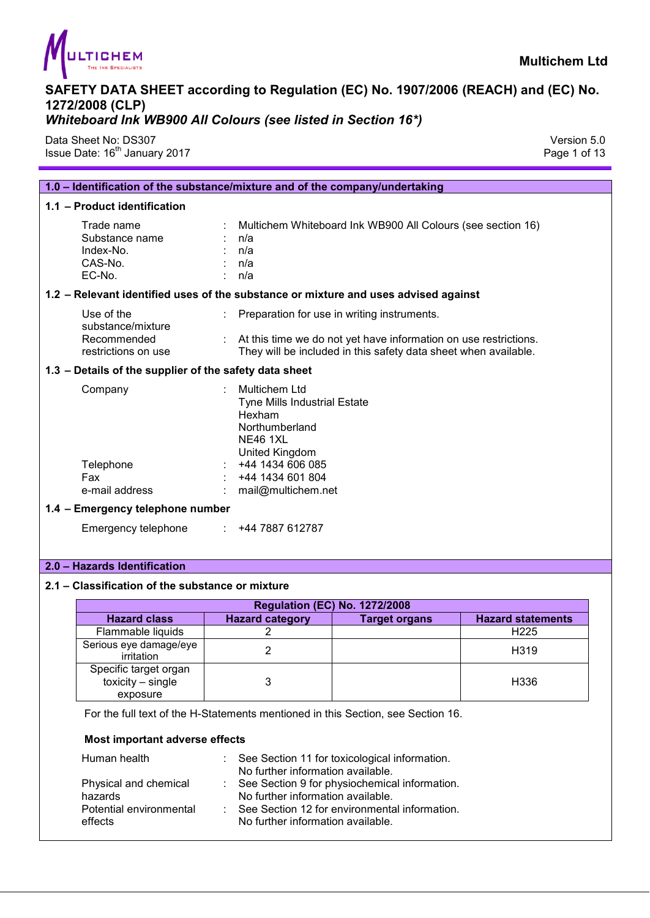

Data Sheet No: DS307 Version 5.0 Issue Date: 16<sup>th</sup> January 2017 **Page 1 of 13** 

|                                                                       | 1.0 - Identification of the substance/mixture and of the company/undertaking                                                                                                         |
|-----------------------------------------------------------------------|--------------------------------------------------------------------------------------------------------------------------------------------------------------------------------------|
| 1.1 - Product identification                                          |                                                                                                                                                                                      |
| Trade name<br>Substance name<br>Index-No.<br>CAS-No.<br>EC-No.        | Multichem Whiteboard Ink WB900 All Colours (see section 16)<br>n/a<br>n/a<br>n/a<br>n/a                                                                                              |
|                                                                       | 1.2 - Relevant identified uses of the substance or mixture and uses advised against                                                                                                  |
| Use of the<br>substance/mixture<br>Recommended<br>restrictions on use | Preparation for use in writing instruments.<br>: At this time we do not yet have information on use restrictions.<br>They will be included in this safety data sheet when available. |
| 1.3 - Details of the supplier of the safety data sheet                |                                                                                                                                                                                      |
| Company<br>Telephone<br>Fax<br>e-mail address                         | Multichem Ltd<br><b>Tyne Mills Industrial Estate</b><br>Hexham<br>Northumberland<br><b>NE46 1XL</b><br>United Kingdom<br>+44 1434 606 085<br>+44 1434 601 804<br>mail@multichem.net  |
| 1.4 - Emergency telephone number                                      |                                                                                                                                                                                      |
| Emergency telephone                                                   | : 4447887612787                                                                                                                                                                      |

#### **2.0 – Hazards Identification**

#### **2.1 – Classification of the substance or mixture**

|                                                          |                        | <b>Regulation (EC) No. 1272/2008</b> |                          |
|----------------------------------------------------------|------------------------|--------------------------------------|--------------------------|
| <b>Hazard class</b>                                      | <b>Hazard category</b> | <b>Target organs</b>                 | <b>Hazard statements</b> |
| Flammable liquids                                        |                        |                                      | H <sub>225</sub>         |
| Serious eye damage/eye<br>irritation                     |                        |                                      | H <sub>319</sub>         |
| Specific target organ<br>$toxicity - single$<br>exposure |                        |                                      | H <sub>336</sub>         |

For the full text of the H-Statements mentioned in this Section, see Section 16.

#### **Most important adverse effects**

| Human health                                                           | See Section 11 for toxicological information.<br>No further information available.                                                                                       |
|------------------------------------------------------------------------|--------------------------------------------------------------------------------------------------------------------------------------------------------------------------|
| Physical and chemical<br>hazards<br>Potential environmental<br>effects | See Section 9 for physiochemical information.<br>No further information available.<br>See Section 12 for environmental information.<br>No further information available. |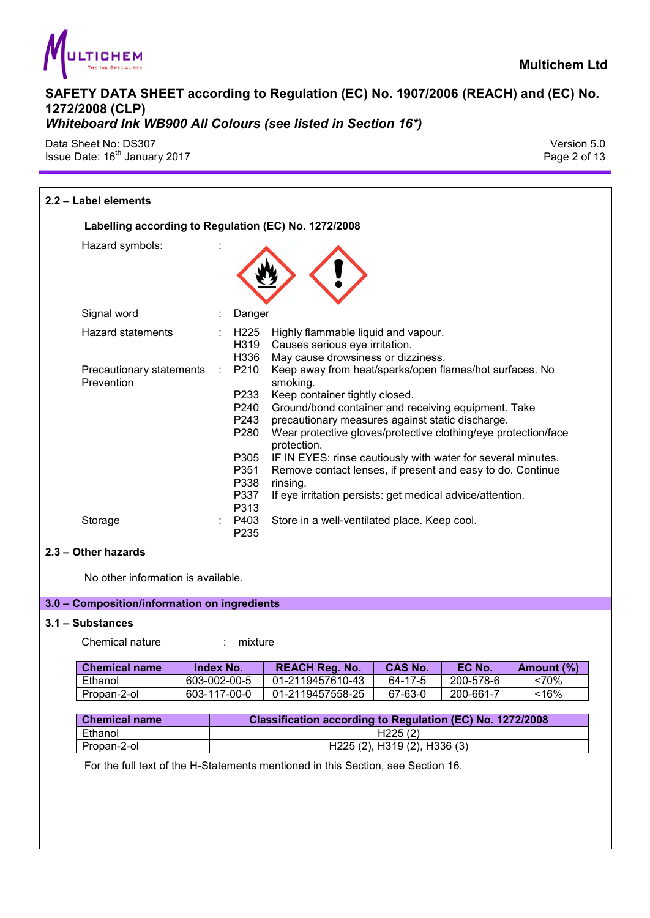

Data Sheet No: DS307 Version 5.0 Issue Date: 16<sup>th</sup> January 2017 **Page 2 of 13** 

| 2.2 - Label elements                                 |   |                                                                              |                                                                                                                                                                                                                                                                                                                                                                                                                                                                                                          |
|------------------------------------------------------|---|------------------------------------------------------------------------------|----------------------------------------------------------------------------------------------------------------------------------------------------------------------------------------------------------------------------------------------------------------------------------------------------------------------------------------------------------------------------------------------------------------------------------------------------------------------------------------------------------|
| Labelling according to Regulation (EC) No. 1272/2008 |   |                                                                              |                                                                                                                                                                                                                                                                                                                                                                                                                                                                                                          |
| Hazard symbols:                                      |   |                                                                              |                                                                                                                                                                                                                                                                                                                                                                                                                                                                                                          |
| Signal word                                          |   | Danger                                                                       |                                                                                                                                                                                                                                                                                                                                                                                                                                                                                                          |
| <b>Hazard statements</b>                             |   | H225<br>H319<br>H336                                                         | Highly flammable liquid and vapour.<br>Causes serious eye irritation.<br>May cause drowsiness or dizziness.                                                                                                                                                                                                                                                                                                                                                                                              |
| Precautionary statements<br>Prevention               | ÷ | P210<br>P233<br>P240<br>P243<br>P280<br>P305<br>P351<br>P338<br>P337<br>P313 | Keep away from heat/sparks/open flames/hot surfaces. No<br>smoking.<br>Keep container tightly closed.<br>Ground/bond container and receiving equipment. Take<br>precautionary measures against static discharge.<br>Wear protective gloves/protective clothing/eye protection/face<br>protection.<br>IF IN EYES: rinse cautiously with water for several minutes.<br>Remove contact lenses, if present and easy to do. Continue<br>rinsing.<br>If eye irritation persists: get medical advice/attention. |
| Storage                                              |   | P403<br>P235                                                                 | Store in a well-ventilated place. Keep cool.                                                                                                                                                                                                                                                                                                                                                                                                                                                             |

#### **2.3 – Other hazards**

No other information is available.

## **3.0 – Composition/information on ingredients**

#### **3.1 – Substances**

Chemical nature : mixture

| <b>Chemical name</b> | Index No.    | <b>REACH Reg. No.</b> | <b>CAS No.</b> | EC No.        | Amount (%) |
|----------------------|--------------|-----------------------|----------------|---------------|------------|
| Ethanol              | 603-002-00-5 | 01-2119457610-43      | 64-17-5        | 200-578-6     | <70%       |
| Propan-2-ol          | 603-117-00-0 | 01-2119457558-25      | 67-63-0        | $200 - 661 -$ | <16%       |

| <b>Chemical name</b> | <b>Classification according to Regulation (EC) No. 1272/2008</b> |
|----------------------|------------------------------------------------------------------|
| Ethanol              | H225(2)                                                          |
| Propan-2-ol          | H <sub>225</sub> (2), H <sub>319</sub> (2), H <sub>336</sub> (3) |

For the full text of the H-Statements mentioned in this Section, see Section 16.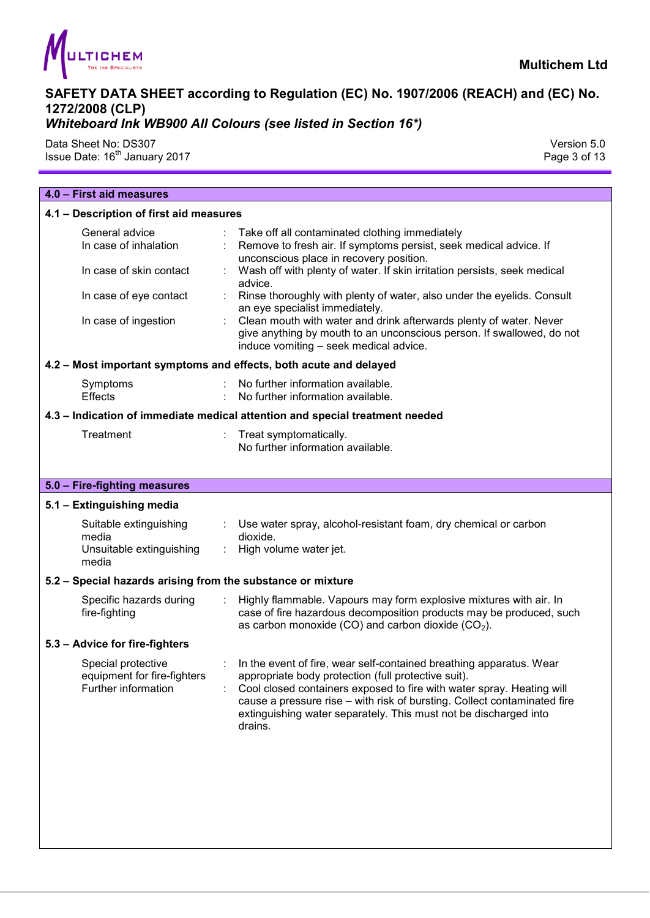

Data Sheet No: DS307 Version 5.0

Issue Date: 16<sup>th</sup> January 2017 **Page 3 of 13** 

| 4.0 - First aid measures                                                                                             |                                                                                                                                                                                                                                                                                                                                                                                                                                                                                                                                                            |
|----------------------------------------------------------------------------------------------------------------------|------------------------------------------------------------------------------------------------------------------------------------------------------------------------------------------------------------------------------------------------------------------------------------------------------------------------------------------------------------------------------------------------------------------------------------------------------------------------------------------------------------------------------------------------------------|
| 4.1 - Description of first aid measures                                                                              |                                                                                                                                                                                                                                                                                                                                                                                                                                                                                                                                                            |
| General advice<br>In case of inhalation<br>In case of skin contact<br>In case of eye contact<br>In case of ingestion | Take off all contaminated clothing immediately<br>Remove to fresh air. If symptoms persist, seek medical advice. If<br>unconscious place in recovery position.<br>Wash off with plenty of water. If skin irritation persists, seek medical<br>advice.<br>Rinse thoroughly with plenty of water, also under the eyelids. Consult<br>an eye specialist immediately.<br>Clean mouth with water and drink afterwards plenty of water. Never<br>give anything by mouth to an unconscious person. If swallowed, do not<br>induce vomiting - seek medical advice. |
|                                                                                                                      | 4.2 - Most important symptoms and effects, both acute and delayed                                                                                                                                                                                                                                                                                                                                                                                                                                                                                          |
| Symptoms<br><b>Effects</b>                                                                                           | No further information available.<br>No further information available.                                                                                                                                                                                                                                                                                                                                                                                                                                                                                     |
|                                                                                                                      | 4.3 - Indication of immediate medical attention and special treatment needed                                                                                                                                                                                                                                                                                                                                                                                                                                                                               |
| Treatment                                                                                                            | Treat symptomatically.<br>No further information available.                                                                                                                                                                                                                                                                                                                                                                                                                                                                                                |
| 5.0 - Fire-fighting measures                                                                                         |                                                                                                                                                                                                                                                                                                                                                                                                                                                                                                                                                            |
| 5.1 - Extinguishing media                                                                                            |                                                                                                                                                                                                                                                                                                                                                                                                                                                                                                                                                            |
| Suitable extinguishing<br>media<br>Unsuitable extinguishing<br>media                                                 | Use water spray, alcohol-resistant foam, dry chemical or carbon<br>dioxide.<br>High volume water jet.<br>÷                                                                                                                                                                                                                                                                                                                                                                                                                                                 |
| 5.2 - Special hazards arising from the substance or mixture                                                          |                                                                                                                                                                                                                                                                                                                                                                                                                                                                                                                                                            |
| Specific hazards during<br>fire-fighting                                                                             | Highly flammable. Vapours may form explosive mixtures with air. In<br>case of fire hazardous decomposition products may be produced, such<br>as carbon monoxide (CO) and carbon dioxide (CO <sub>2</sub> ).                                                                                                                                                                                                                                                                                                                                                |
| 5.3 - Advice for fire-fighters                                                                                       |                                                                                                                                                                                                                                                                                                                                                                                                                                                                                                                                                            |
| Special protective<br>equipment for fire-fighters<br>Further information                                             | In the event of fire, wear self-contained breathing apparatus. Wear<br>appropriate body protection (full protective suit).<br>Cool closed containers exposed to fire with water spray. Heating will<br>cause a pressure rise - with risk of bursting. Collect contaminated fire<br>extinguishing water separately. This must not be discharged into<br>drains.                                                                                                                                                                                             |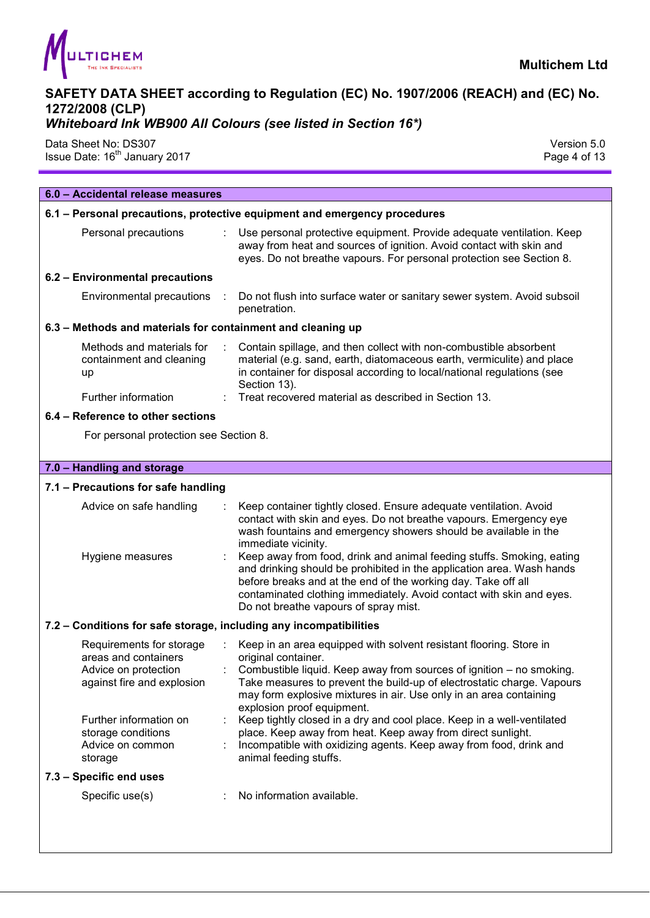

## *Whiteboard Ink WB900 All Colours (see listed in Section 16\*)*

Data Sheet No: DS307 Version 5.0 Issue Date: 16<sup>th</sup> January 2017 **Page 4 of 13** 

| 6.0 - Accidental release measures                                                                      |                                                                                                                                                                                                                                                                                                                                                                                                                                                                                                                                                                      |
|--------------------------------------------------------------------------------------------------------|----------------------------------------------------------------------------------------------------------------------------------------------------------------------------------------------------------------------------------------------------------------------------------------------------------------------------------------------------------------------------------------------------------------------------------------------------------------------------------------------------------------------------------------------------------------------|
|                                                                                                        | 6.1 – Personal precautions, protective equipment and emergency procedures                                                                                                                                                                                                                                                                                                                                                                                                                                                                                            |
| Personal precautions                                                                                   | Use personal protective equipment. Provide adequate ventilation. Keep<br>away from heat and sources of ignition. Avoid contact with skin and<br>eyes. Do not breathe vapours. For personal protection see Section 8.                                                                                                                                                                                                                                                                                                                                                 |
| 6.2 - Environmental precautions                                                                        |                                                                                                                                                                                                                                                                                                                                                                                                                                                                                                                                                                      |
| Environmental precautions :                                                                            | Do not flush into surface water or sanitary sewer system. Avoid subsoil<br>penetration.                                                                                                                                                                                                                                                                                                                                                                                                                                                                              |
| 6.3 - Methods and materials for containment and cleaning up                                            |                                                                                                                                                                                                                                                                                                                                                                                                                                                                                                                                                                      |
| Methods and materials for<br>containment and cleaning<br>up                                            | Contain spillage, and then collect with non-combustible absorbent<br>material (e.g. sand, earth, diatomaceous earth, vermiculite) and place<br>in container for disposal according to local/national regulations (see<br>Section 13).                                                                                                                                                                                                                                                                                                                                |
| Further information                                                                                    | Treat recovered material as described in Section 13.                                                                                                                                                                                                                                                                                                                                                                                                                                                                                                                 |
| 6.4 - Reference to other sections                                                                      |                                                                                                                                                                                                                                                                                                                                                                                                                                                                                                                                                                      |
| For personal protection see Section 8.                                                                 |                                                                                                                                                                                                                                                                                                                                                                                                                                                                                                                                                                      |
|                                                                                                        |                                                                                                                                                                                                                                                                                                                                                                                                                                                                                                                                                                      |
| 7.0 - Handling and storage                                                                             |                                                                                                                                                                                                                                                                                                                                                                                                                                                                                                                                                                      |
| 7.1 - Precautions for safe handling                                                                    |                                                                                                                                                                                                                                                                                                                                                                                                                                                                                                                                                                      |
| Advice on safe handling<br>Hygiene measures                                                            | Keep container tightly closed. Ensure adequate ventilation. Avoid<br>contact with skin and eyes. Do not breathe vapours. Emergency eye<br>wash fountains and emergency showers should be available in the<br>immediate vicinity.<br>Keep away from food, drink and animal feeding stuffs. Smoking, eating<br>and drinking should be prohibited in the application area. Wash hands<br>before breaks and at the end of the working day. Take off all<br>contaminated clothing immediately. Avoid contact with skin and eyes.<br>Do not breathe vapours of spray mist. |
| 7.2 - Conditions for safe storage, including any incompatibilities                                     |                                                                                                                                                                                                                                                                                                                                                                                                                                                                                                                                                                      |
| Requirements for storage<br>areas and containers<br>Advice on protection<br>against fire and explosion | Keep in an area equipped with solvent resistant flooring. Store in<br>original container.<br>Combustible liquid. Keep away from sources of ignition – no smoking.<br>Take measures to prevent the build-up of electrostatic charge. Vapours<br>may form explosive mixtures in air. Use only in an area containing<br>explosion proof equipment.                                                                                                                                                                                                                      |
| Further information on<br>storage conditions<br>Advice on common<br>storage                            | Keep tightly closed in a dry and cool place. Keep in a well-ventilated<br>place. Keep away from heat. Keep away from direct sunlight.<br>Incompatible with oxidizing agents. Keep away from food, drink and<br>animal feeding stuffs.                                                                                                                                                                                                                                                                                                                                |
| 7.3 - Specific end uses                                                                                |                                                                                                                                                                                                                                                                                                                                                                                                                                                                                                                                                                      |
| Specific use(s)                                                                                        | No information available.                                                                                                                                                                                                                                                                                                                                                                                                                                                                                                                                            |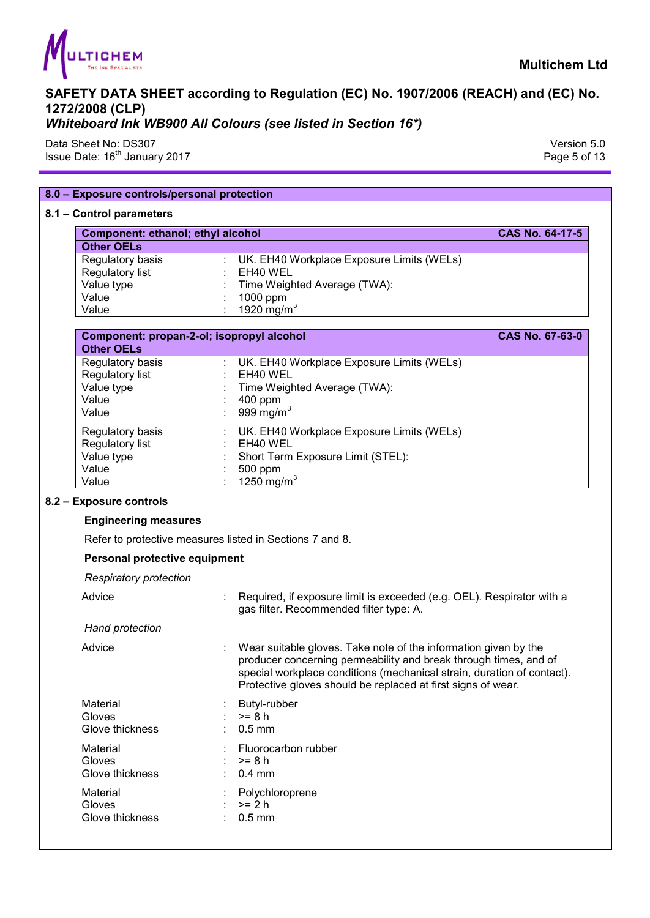

Data Sheet No: DS307 Version 5.0 Issue Date:  $16^{\text{th}}$  January 2017 **Page 5 of 13** 

| 8.0 - Exposure controls/personal protection |                                                                                                                                                                                                                                                                               |                        |
|---------------------------------------------|-------------------------------------------------------------------------------------------------------------------------------------------------------------------------------------------------------------------------------------------------------------------------------|------------------------|
| 8.1 - Control parameters                    |                                                                                                                                                                                                                                                                               |                        |
| Component: ethanol; ethyl alcohol           |                                                                                                                                                                                                                                                                               | <b>CAS No. 64-17-5</b> |
| <b>Other OELs</b>                           |                                                                                                                                                                                                                                                                               |                        |
| Regulatory basis                            | UK. EH40 Workplace Exposure Limits (WELs)                                                                                                                                                                                                                                     |                        |
| Regulatory list                             | EH40 WEL                                                                                                                                                                                                                                                                      |                        |
| Value type                                  | Time Weighted Average (TWA):                                                                                                                                                                                                                                                  |                        |
| Value                                       | 1000 ppm                                                                                                                                                                                                                                                                      |                        |
| Value                                       | 1920 mg/m $3$                                                                                                                                                                                                                                                                 |                        |
| Component: propan-2-ol; isopropyl alcohol   |                                                                                                                                                                                                                                                                               | <b>CAS No. 67-63-0</b> |
| <b>Other OELs</b>                           |                                                                                                                                                                                                                                                                               |                        |
| Regulatory basis                            | UK. EH40 Workplace Exposure Limits (WELs)                                                                                                                                                                                                                                     |                        |
| Regulatory list                             | EH40 WEL                                                                                                                                                                                                                                                                      |                        |
| Value type                                  | Time Weighted Average (TWA):                                                                                                                                                                                                                                                  |                        |
| Value                                       | 400 ppm                                                                                                                                                                                                                                                                       |                        |
| Value                                       | 999 mg/m $3$                                                                                                                                                                                                                                                                  |                        |
| Regulatory basis                            | UK. EH40 Workplace Exposure Limits (WELs)                                                                                                                                                                                                                                     |                        |
| Regulatory list                             | EH40 WEL                                                                                                                                                                                                                                                                      |                        |
| Value type                                  | Short Term Exposure Limit (STEL):                                                                                                                                                                                                                                             |                        |
| Value                                       | 500 ppm                                                                                                                                                                                                                                                                       |                        |
| Value                                       |                                                                                                                                                                                                                                                                               |                        |
|                                             | $1250$ mg/m <sup>3</sup>                                                                                                                                                                                                                                                      |                        |
| 8.2 - Exposure controls                     |                                                                                                                                                                                                                                                                               |                        |
| <b>Engineering measures</b>                 |                                                                                                                                                                                                                                                                               |                        |
|                                             | Refer to protective measures listed in Sections 7 and 8.                                                                                                                                                                                                                      |                        |
| Personal protective equipment               |                                                                                                                                                                                                                                                                               |                        |
| <b>Respiratory protection</b>               |                                                                                                                                                                                                                                                                               |                        |
| Advice                                      | : Required, if exposure limit is exceeded (e.g. OEL). Respirator with a<br>gas filter. Recommended filter type: A.                                                                                                                                                            |                        |
| Hand protection                             |                                                                                                                                                                                                                                                                               |                        |
| Advice                                      | Wear suitable gloves. Take note of the information given by the<br>producer concerning permeability and break through times, and of<br>special workplace conditions (mechanical strain, duration of contact).<br>Protective gloves should be replaced at first signs of wear. |                        |
|                                             |                                                                                                                                                                                                                                                                               |                        |
| Material<br>Gloves                          | Butyl-rubber<br>$>= 8 h$                                                                                                                                                                                                                                                      |                        |
| Glove thickness                             | $0.5$ mm                                                                                                                                                                                                                                                                      |                        |
|                                             |                                                                                                                                                                                                                                                                               |                        |
| Material                                    | Fluorocarbon rubber                                                                                                                                                                                                                                                           |                        |
| Gloves                                      | $>= 8 h$                                                                                                                                                                                                                                                                      |                        |
| Glove thickness                             | $0.4$ mm                                                                                                                                                                                                                                                                      |                        |
| Material                                    | Polychloroprene                                                                                                                                                                                                                                                               |                        |
| Gloves<br>Glove thickness                   | $>= 2 h$<br>$0.5$ mm                                                                                                                                                                                                                                                          |                        |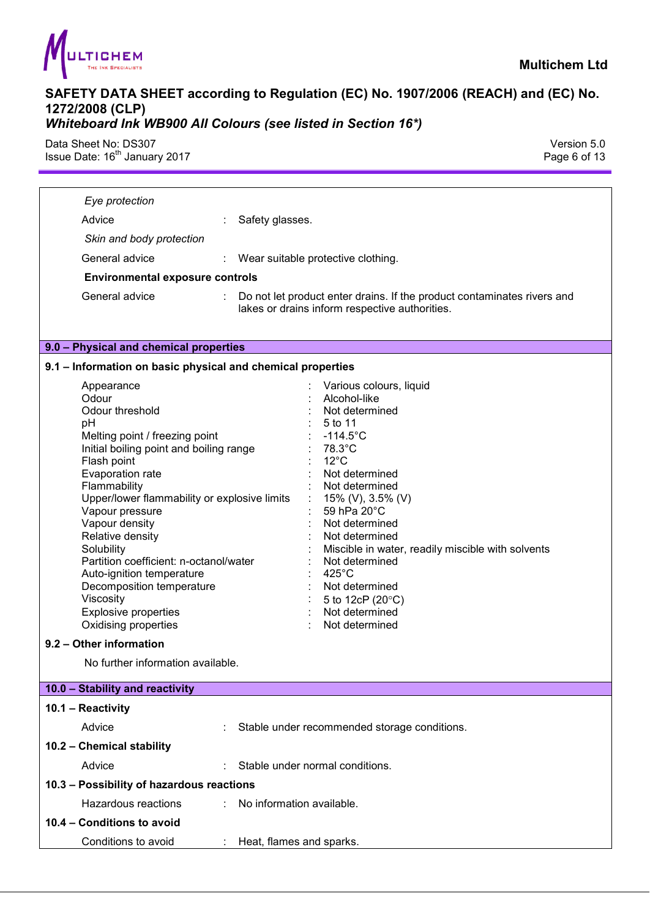

Data Sheet No: DS307 Version 5.0 Issue Date:  $16^{\text{th}}$  January 2017 **Page 6 of 13** 

| Eye protection                                                                                                                                                                                                                                                                                                                                                                                                                                                              |                                                                                                                                                                                                                                                                                                                                                                                                        |  |  |  |
|-----------------------------------------------------------------------------------------------------------------------------------------------------------------------------------------------------------------------------------------------------------------------------------------------------------------------------------------------------------------------------------------------------------------------------------------------------------------------------|--------------------------------------------------------------------------------------------------------------------------------------------------------------------------------------------------------------------------------------------------------------------------------------------------------------------------------------------------------------------------------------------------------|--|--|--|
| Advice                                                                                                                                                                                                                                                                                                                                                                                                                                                                      | Safety glasses.                                                                                                                                                                                                                                                                                                                                                                                        |  |  |  |
| Skin and body protection                                                                                                                                                                                                                                                                                                                                                                                                                                                    |                                                                                                                                                                                                                                                                                                                                                                                                        |  |  |  |
| General advice                                                                                                                                                                                                                                                                                                                                                                                                                                                              | : Wear suitable protective clothing.                                                                                                                                                                                                                                                                                                                                                                   |  |  |  |
| <b>Environmental exposure controls</b>                                                                                                                                                                                                                                                                                                                                                                                                                                      |                                                                                                                                                                                                                                                                                                                                                                                                        |  |  |  |
| General advice                                                                                                                                                                                                                                                                                                                                                                                                                                                              | Do not let product enter drains. If the product contaminates rivers and<br>lakes or drains inform respective authorities.                                                                                                                                                                                                                                                                              |  |  |  |
| 9.0 - Physical and chemical properties                                                                                                                                                                                                                                                                                                                                                                                                                                      |                                                                                                                                                                                                                                                                                                                                                                                                        |  |  |  |
| 9.1 - Information on basic physical and chemical properties                                                                                                                                                                                                                                                                                                                                                                                                                 |                                                                                                                                                                                                                                                                                                                                                                                                        |  |  |  |
| Appearance<br>Odour<br>Odour threshold<br>рH<br>Melting point / freezing point<br>Initial boiling point and boiling range<br>Flash point<br>Evaporation rate<br>Flammability<br>Upper/lower flammability or explosive limits<br>Vapour pressure<br>Vapour density<br>Relative density<br>Solubility<br>Partition coefficient: n-octanol/water<br>Auto-ignition temperature<br>Decomposition temperature<br>Viscosity<br><b>Explosive properties</b><br>Oxidising properties | Various colours, liquid<br>Alcohol-like<br>Not determined<br>5 to 11<br>$-114.5^{\circ}$ C<br>78.3°C<br>$12^{\circ}$ C<br>Not determined<br>Not determined<br>15% (V), 3.5% (V)<br>59 hPa 20°C<br>Not determined<br>Not determined<br>Miscible in water, readily miscible with solvents<br>Not determined<br>$425^{\circ}$ C<br>Not determined<br>5 to 12cP (20°C)<br>Not determined<br>Not determined |  |  |  |
| 9.2 - Other information                                                                                                                                                                                                                                                                                                                                                                                                                                                     |                                                                                                                                                                                                                                                                                                                                                                                                        |  |  |  |
| No further information available.                                                                                                                                                                                                                                                                                                                                                                                                                                           |                                                                                                                                                                                                                                                                                                                                                                                                        |  |  |  |
| 10.0 - Stability and reactivity                                                                                                                                                                                                                                                                                                                                                                                                                                             |                                                                                                                                                                                                                                                                                                                                                                                                        |  |  |  |
| 10.1 - Reactivity                                                                                                                                                                                                                                                                                                                                                                                                                                                           |                                                                                                                                                                                                                                                                                                                                                                                                        |  |  |  |
| Advice                                                                                                                                                                                                                                                                                                                                                                                                                                                                      | Stable under recommended storage conditions.                                                                                                                                                                                                                                                                                                                                                           |  |  |  |
| 10.2 - Chemical stability                                                                                                                                                                                                                                                                                                                                                                                                                                                   |                                                                                                                                                                                                                                                                                                                                                                                                        |  |  |  |
| Advice                                                                                                                                                                                                                                                                                                                                                                                                                                                                      | Stable under normal conditions.                                                                                                                                                                                                                                                                                                                                                                        |  |  |  |
| 10.3 - Possibility of hazardous reactions                                                                                                                                                                                                                                                                                                                                                                                                                                   |                                                                                                                                                                                                                                                                                                                                                                                                        |  |  |  |
| Hazardous reactions                                                                                                                                                                                                                                                                                                                                                                                                                                                         | No information available.<br>t.                                                                                                                                                                                                                                                                                                                                                                        |  |  |  |
| 10.4 - Conditions to avoid                                                                                                                                                                                                                                                                                                                                                                                                                                                  |                                                                                                                                                                                                                                                                                                                                                                                                        |  |  |  |
| Conditions to avoid                                                                                                                                                                                                                                                                                                                                                                                                                                                         | Heat, flames and sparks.<br>÷.                                                                                                                                                                                                                                                                                                                                                                         |  |  |  |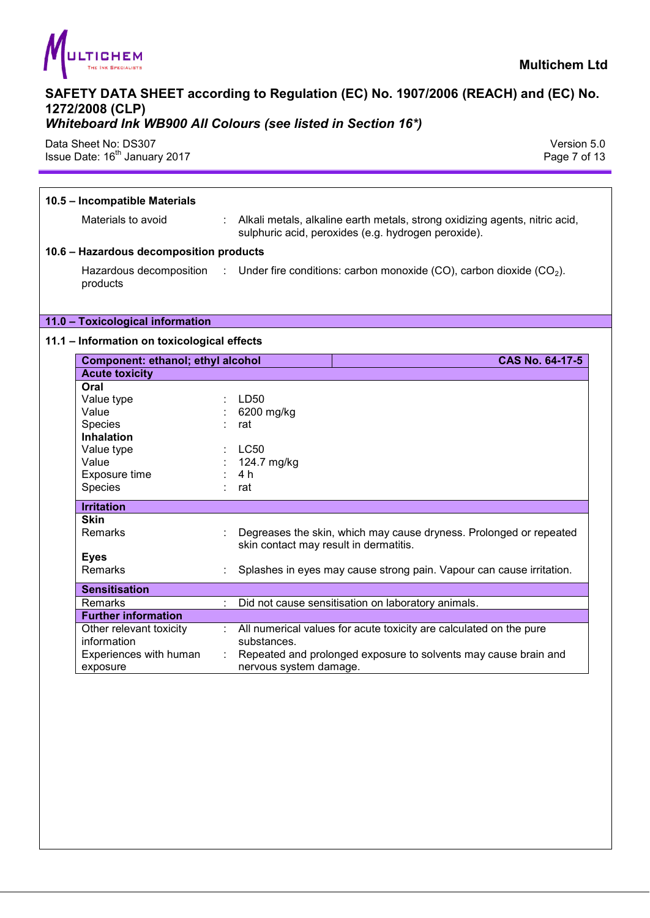

## *Whiteboard Ink WB900 All Colours (see listed in Section 16\*)*

Data Sheet No: DS307 Version 5.0 Issue Date: 16<sup>th</sup> January 2017 **Page 7 of 13** 

| 10.5 - Incompatible Materials               |                                                                                                                                      |
|---------------------------------------------|--------------------------------------------------------------------------------------------------------------------------------------|
| Materials to avoid                          | : Alkali metals, alkaline earth metals, strong oxidizing agents, nitric acid,<br>sulphuric acid, peroxides (e.g. hydrogen peroxide). |
| 10.6 - Hazardous decomposition products     |                                                                                                                                      |
| products                                    | Hazardous decomposition : Under fire conditions: carbon monoxide (CO), carbon dioxide (CO <sub>2</sub> ).                            |
| 11.0 - Toxicological information            |                                                                                                                                      |
| 11.1 - Information on toxicological effects |                                                                                                                                      |
| Component: ethanol; ethyl alcohol           | <b>CAS No. 64-17-5</b>                                                                                                               |
| <b>Acute toxicity</b>                       |                                                                                                                                      |
| Oral                                        |                                                                                                                                      |
| Value type                                  | LD50                                                                                                                                 |
| Value                                       | 6200 mg/kg                                                                                                                           |
| Species                                     | rat                                                                                                                                  |
| <b>Inhalation</b>                           |                                                                                                                                      |
| Value type                                  | <b>LC50</b>                                                                                                                          |
| Value                                       | 124.7 mg/kg                                                                                                                          |
| Exposure time                               | 4 h                                                                                                                                  |
| Species                                     | rat                                                                                                                                  |
| <b>Irritation</b>                           |                                                                                                                                      |
| <b>Skin</b>                                 |                                                                                                                                      |
| Remarks                                     | Degreases the skin, which may cause dryness. Prolonged or repeated<br>skin contact may result in dermatitis.                         |
| <b>Eyes</b>                                 |                                                                                                                                      |
| Remarks                                     | Splashes in eyes may cause strong pain. Vapour can cause irritation.                                                                 |
| <b>Sensitisation</b>                        |                                                                                                                                      |
| Remarks                                     | Did not cause sensitisation on laboratory animals.                                                                                   |
| <b>Further information</b>                  |                                                                                                                                      |
| Other relevant toxicity                     | : All numerical values for acute toxicity are calculated on the pure                                                                 |
| information                                 | substances.                                                                                                                          |
| Experiences with human                      | Repeated and prolonged exposure to solvents may cause brain and                                                                      |
| exposure                                    | nervous system damage.                                                                                                               |
|                                             |                                                                                                                                      |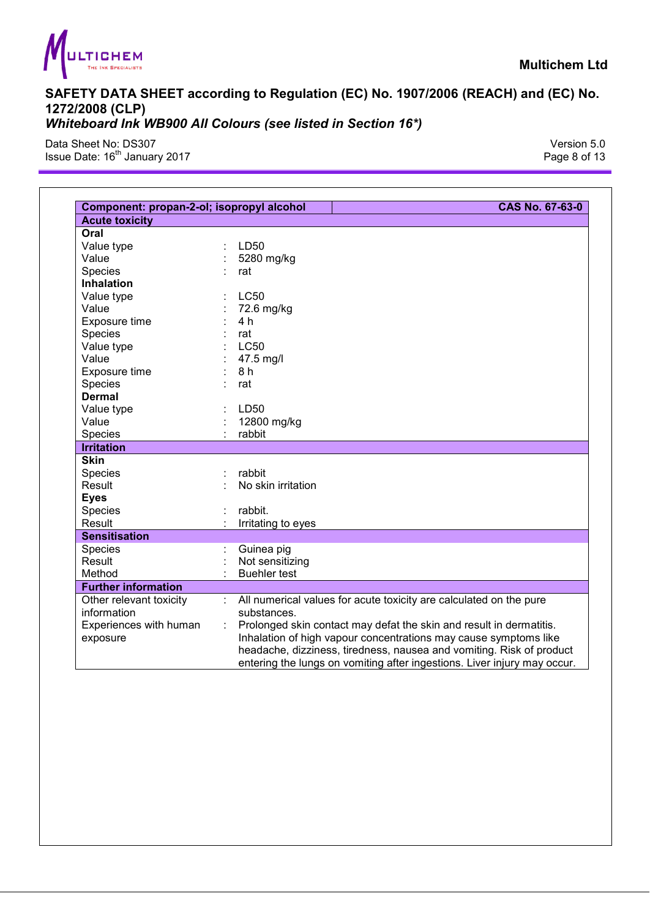

Data Sheet No: DS307 Version 5.0 Issue Date: 16<sup>th</sup> January 2017 **Page 8 of 13** 

| Component: propan-2-ol; isopropyl alcohol<br><b>CAS No. 67-63-0</b> |                                                                           |  |
|---------------------------------------------------------------------|---------------------------------------------------------------------------|--|
| <b>Acute toxicity</b>                                               |                                                                           |  |
| Oral                                                                |                                                                           |  |
| Value type                                                          | LD50                                                                      |  |
| Value                                                               | 5280 mg/kg                                                                |  |
| Species                                                             | rat                                                                       |  |
| <b>Inhalation</b>                                                   |                                                                           |  |
| Value type                                                          | <b>LC50</b>                                                               |  |
| Value                                                               | 72.6 mg/kg                                                                |  |
| Exposure time                                                       | 4 h                                                                       |  |
| Species                                                             | rat                                                                       |  |
| Value type                                                          | <b>LC50</b>                                                               |  |
| Value                                                               | 47.5 mg/l                                                                 |  |
| Exposure time                                                       | 8 h                                                                       |  |
| Species                                                             | rat                                                                       |  |
| <b>Dermal</b>                                                       |                                                                           |  |
| Value type                                                          | LD50                                                                      |  |
| Value                                                               | 12800 mg/kg                                                               |  |
| Species                                                             | rabbit                                                                    |  |
| <b>Irritation</b>                                                   |                                                                           |  |
| <b>Skin</b>                                                         |                                                                           |  |
| <b>Species</b>                                                      | rabbit                                                                    |  |
| Result                                                              | No skin irritation                                                        |  |
| <b>Eyes</b>                                                         |                                                                           |  |
| Species                                                             | rabbit.                                                                   |  |
| Result                                                              | Irritating to eyes                                                        |  |
| <b>Sensitisation</b>                                                |                                                                           |  |
| Species                                                             | Guinea pig                                                                |  |
| Result                                                              | Not sensitizing                                                           |  |
| Method                                                              | <b>Buehler test</b>                                                       |  |
| <b>Further information</b>                                          |                                                                           |  |
| Other relevant toxicity                                             | All numerical values for acute toxicity are calculated on the pure        |  |
| information                                                         | substances.                                                               |  |
| Experiences with human                                              | Prolonged skin contact may defat the skin and result in dermatitis.<br>÷. |  |
| exposure                                                            | Inhalation of high vapour concentrations may cause symptoms like          |  |
|                                                                     | headache, dizziness, tiredness, nausea and vomiting. Risk of product      |  |
|                                                                     | entering the lungs on vomiting after ingestions. Liver injury may occur.  |  |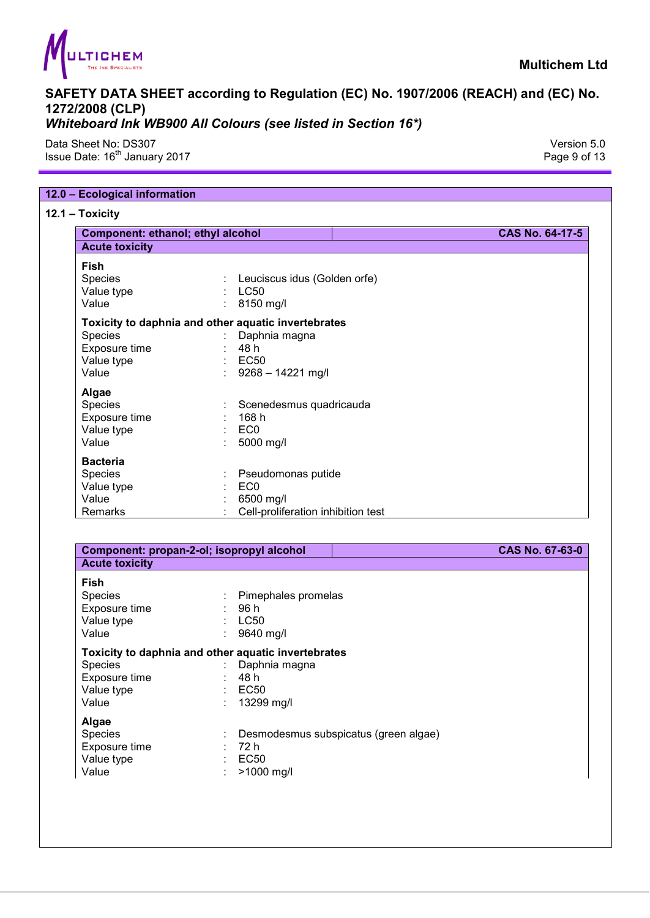

Data Sheet No: DS307 Version 5.0 Issue Date: 16<sup>th</sup> January 2017 **Page 9 of 13** 

#### **12.0 – Ecological information**

**12.1 – Toxicity** 

| Component: ethanol; ethyl alcohol                            |                                                                                                                            | CAS No. 64-17-5 |
|--------------------------------------------------------------|----------------------------------------------------------------------------------------------------------------------------|-----------------|
| <b>Acute toxicity</b>                                        |                                                                                                                            |                 |
| Fish<br>Species<br>Value type<br>Value                       | : Leuciscus idus (Golden orfe)<br>$\therefore$ LC50<br>8150 mg/l<br>t.                                                     |                 |
| Species<br>Exposure time<br>Value type<br>Value              | Toxicity to daphnia and other aquatic invertebrates<br>Daphnia magna<br>48 h<br>$\therefore$ EC50<br>: $9268 - 14221$ mg/l |                 |
| Algae<br>Species<br>Exposure time<br>Value type<br>Value     | Scenedesmus quadricauda<br>168 h<br>EC0<br>5000 mg/l                                                                       |                 |
| <b>Bacteria</b><br>Species<br>Value type<br>Value<br>Remarks | Pseudomonas putide<br>EC <sub>0</sub><br>6500 mg/l<br>Cell-proliferation inhibition test                                   |                 |

| Component: propan-2-ol; isopropyl alcohol                             |                                                                                                    | CAS No. 67-63-0 |
|-----------------------------------------------------------------------|----------------------------------------------------------------------------------------------------|-----------------|
| <b>Acute toxicity</b>                                                 |                                                                                                    |                 |
| <b>Fish</b><br><b>Species</b><br>Exposure time<br>Value type<br>Value | Pimephales promelas<br>96 h<br><b>LC50</b><br>9640 mg/l                                            |                 |
| <b>Species</b><br>Exposure time<br>Value type<br>Value                | Toxicity to daphnia and other aquatic invertebrates<br>Daphnia magna<br>48 h<br>EC50<br>13299 mg/l |                 |
| Algae<br><b>Species</b><br>Exposure time<br>Value type                | Desmodesmus subspicatus (green algae)<br>72 h<br>$\leq$ EC50<br>>1000 mg/l                         |                 |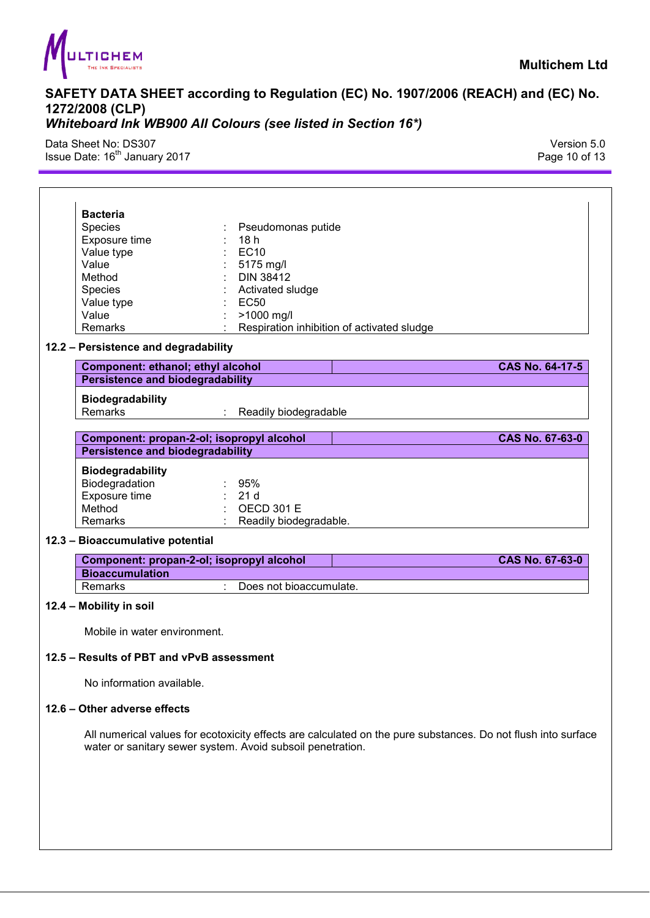

Data Sheet No: DS307 Version 5.0 Issue Date:  $16^{\text{th}}$  January 2017 **Page 10 of 13** 

|                         | <b>Bacteria</b>                           |                                                      |                                            |                        |  |
|-------------------------|-------------------------------------------|------------------------------------------------------|--------------------------------------------|------------------------|--|
| <b>Species</b>          |                                           | Pseudomonas putide                                   |                                            |                        |  |
|                         | Exposure time                             | 18h                                                  |                                            |                        |  |
|                         | Value type                                | <b>EC10</b>                                          |                                            |                        |  |
| Value                   |                                           | 5175 mg/l                                            |                                            |                        |  |
| Method                  |                                           | <b>DIN 38412</b>                                     |                                            |                        |  |
| <b>Species</b>          |                                           | Activated sludge                                     |                                            |                        |  |
|                         | Value type                                | <b>EC50</b>                                          |                                            |                        |  |
| Value                   |                                           | >1000 mg/l                                           |                                            |                        |  |
|                         | Remarks                                   |                                                      | Respiration inhibition of activated sludge |                        |  |
|                         |                                           |                                                      |                                            |                        |  |
|                         | 12.2 - Persistence and degradability      |                                                      |                                            |                        |  |
|                         | Component: ethanol; ethyl alcohol         |                                                      |                                            | <b>CAS No. 64-17-5</b> |  |
|                         | <b>Persistence and biodegradability</b>   |                                                      |                                            |                        |  |
|                         |                                           |                                                      |                                            |                        |  |
|                         | <b>Biodegradability</b><br><b>Remarks</b> | Readily biodegradable<br>$\mathcal{L}^{\mathcal{L}}$ |                                            |                        |  |
|                         |                                           |                                                      |                                            |                        |  |
|                         | Component: propan-2-ol; isopropyl alcohol |                                                      |                                            | <b>CAS No. 67-63-0</b> |  |
|                         | <b>Persistence and biodegradability</b>   |                                                      |                                            |                        |  |
|                         |                                           |                                                      |                                            |                        |  |
|                         | <b>Biodegradability</b>                   |                                                      |                                            |                        |  |
|                         | Biodegradation                            | 95%                                                  |                                            |                        |  |
|                         | Exposure time                             | 21 <sub>d</sub>                                      |                                            |                        |  |
| Method                  |                                           | <b>OECD 301 E</b>                                    |                                            |                        |  |
|                         | Remarks                                   | Readily biodegradable.                               |                                            |                        |  |
|                         | 12.3 - Bioaccumulative potential          |                                                      |                                            |                        |  |
|                         | Component: propan-2-ol; isopropyl alcohol |                                                      |                                            | <b>CAS No. 67-63-0</b> |  |
|                         | <b>Bioaccumulation</b>                    |                                                      |                                            |                        |  |
|                         | Remarks                                   | Does not bioaccumulate.                              |                                            |                        |  |
| 12.4 - Mobility in soil |                                           |                                                      |                                            |                        |  |
|                         |                                           |                                                      |                                            |                        |  |
|                         | Mobile in water environment.              |                                                      |                                            |                        |  |
|                         |                                           |                                                      |                                            |                        |  |
|                         |                                           |                                                      |                                            |                        |  |

No information available.

#### **12.6 – Other adverse effects**

All numerical values for ecotoxicity effects are calculated on the pure substances. Do not flush into surface water or sanitary sewer system. Avoid subsoil penetration.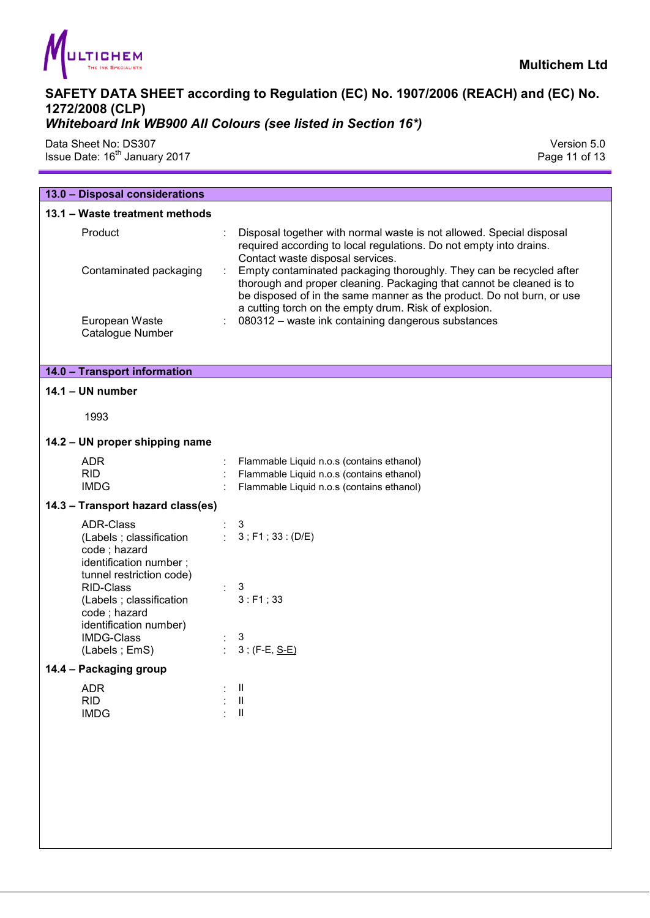

Data Sheet No: DS307 Version 5.0 Issue Date:  $16^{\text{th}}$  January 2017 **Page 11 of 13** Page 11 of 13

| 13.0 - Disposal considerations                                                                                     |                                                                                                                                                                                                                                                                               |
|--------------------------------------------------------------------------------------------------------------------|-------------------------------------------------------------------------------------------------------------------------------------------------------------------------------------------------------------------------------------------------------------------------------|
| 13.1 - Waste treatment methods                                                                                     |                                                                                                                                                                                                                                                                               |
| Product                                                                                                            | Disposal together with normal waste is not allowed. Special disposal<br>required according to local regulations. Do not empty into drains.<br>Contact waste disposal services.                                                                                                |
| Contaminated packaging                                                                                             | Empty contaminated packaging thoroughly. They can be recycled after<br>thorough and proper cleaning. Packaging that cannot be cleaned is to<br>be disposed of in the same manner as the product. Do not burn, or use<br>a cutting torch on the empty drum. Risk of explosion. |
| European Waste<br>Catalogue Number                                                                                 | 080312 - waste ink containing dangerous substances                                                                                                                                                                                                                            |
| 14.0 - Transport information                                                                                       |                                                                                                                                                                                                                                                                               |
| $14.1 - UN number$                                                                                                 |                                                                                                                                                                                                                                                                               |
| 1993                                                                                                               |                                                                                                                                                                                                                                                                               |
| 14.2 - UN proper shipping name                                                                                     |                                                                                                                                                                                                                                                                               |
| <b>ADR</b>                                                                                                         | Flammable Liquid n.o.s (contains ethanol)                                                                                                                                                                                                                                     |
| <b>RID</b>                                                                                                         | Flammable Liquid n.o.s (contains ethanol)                                                                                                                                                                                                                                     |
| <b>IMDG</b>                                                                                                        | Flammable Liquid n.o.s (contains ethanol)                                                                                                                                                                                                                                     |
| 14.3 - Transport hazard class(es)                                                                                  |                                                                                                                                                                                                                                                                               |
| <b>ADR-Class</b><br>(Labels ; classification<br>code; hazard<br>identification number;<br>tunnel restriction code) | 3<br>: $3$ ; F1; 33: (D/E)                                                                                                                                                                                                                                                    |
| <b>RID-Class</b><br>(Labels ; classification<br>code; hazard<br>identification number)                             | 3<br>3: F1; 33                                                                                                                                                                                                                                                                |
| <b>IMDG-Class</b>                                                                                                  | 3                                                                                                                                                                                                                                                                             |
| (Labels; EmS)                                                                                                      | $3$ ; (F-E, $S-E$ )                                                                                                                                                                                                                                                           |
| Packaging group<br>$14.4 -$                                                                                        |                                                                                                                                                                                                                                                                               |
| <b>ADR</b><br><b>RID</b><br><b>IMDG</b>                                                                            | Ш<br>$\ensuremath{\mathsf{II}}$<br>$\ensuremath{\mathsf{II}}$                                                                                                                                                                                                                 |
|                                                                                                                    |                                                                                                                                                                                                                                                                               |
|                                                                                                                    |                                                                                                                                                                                                                                                                               |
|                                                                                                                    |                                                                                                                                                                                                                                                                               |
|                                                                                                                    |                                                                                                                                                                                                                                                                               |
|                                                                                                                    |                                                                                                                                                                                                                                                                               |
|                                                                                                                    |                                                                                                                                                                                                                                                                               |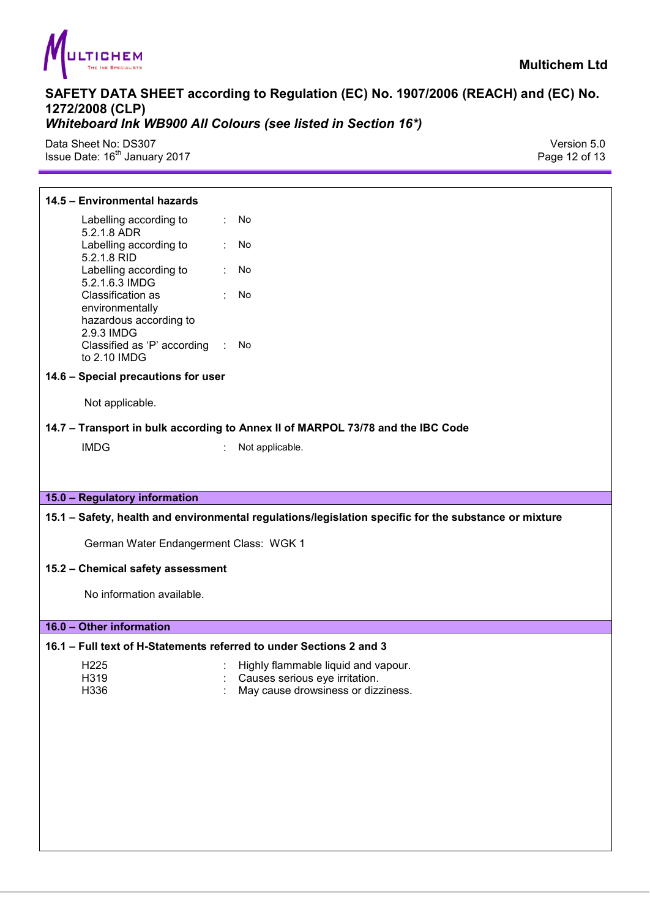

Data Sheet No: DS307 Version 5.0 Issue Date: 16<sup>th</sup> January 2017

#### **14.5 – Environmental hazards**

Labelling according to 5.2.1.8 ADR : No Labelling according to 5.2.1.8 RID : No Labelling according to 5.2.1.6.3 IMDG : No Classification as environmentally hazardous according to 2.9.3 IMDG : No Classified as 'P' according to 2.10 IMDG : No

#### **14.6 – Special precautions for user**

Not applicable.

#### **14.7 – Transport in bulk according to Annex II of MARPOL 73/78 and the IBC Code**

IMDG : Not applicable.

#### **15.0 – Regulatory information**

#### **15.1 – Safety, health and environmental regulations/legislation specific for the substance or mixture**

German Water Endangerment Class: WGK 1

#### **15.2 – Chemical safety assessment**

No information available.

#### **16.0 – Other information**

#### **16.1 – Full text of H-Statements referred to under Sections 2 and 3**

- 
- H225 : Highly flammable liquid and vapour.<br>H319 : Causes serious eve irritation
- 
- H319 : Causes serious eye irritation.<br>H336 : May cause drowsiness or dizz May cause drowsiness or dizziness.